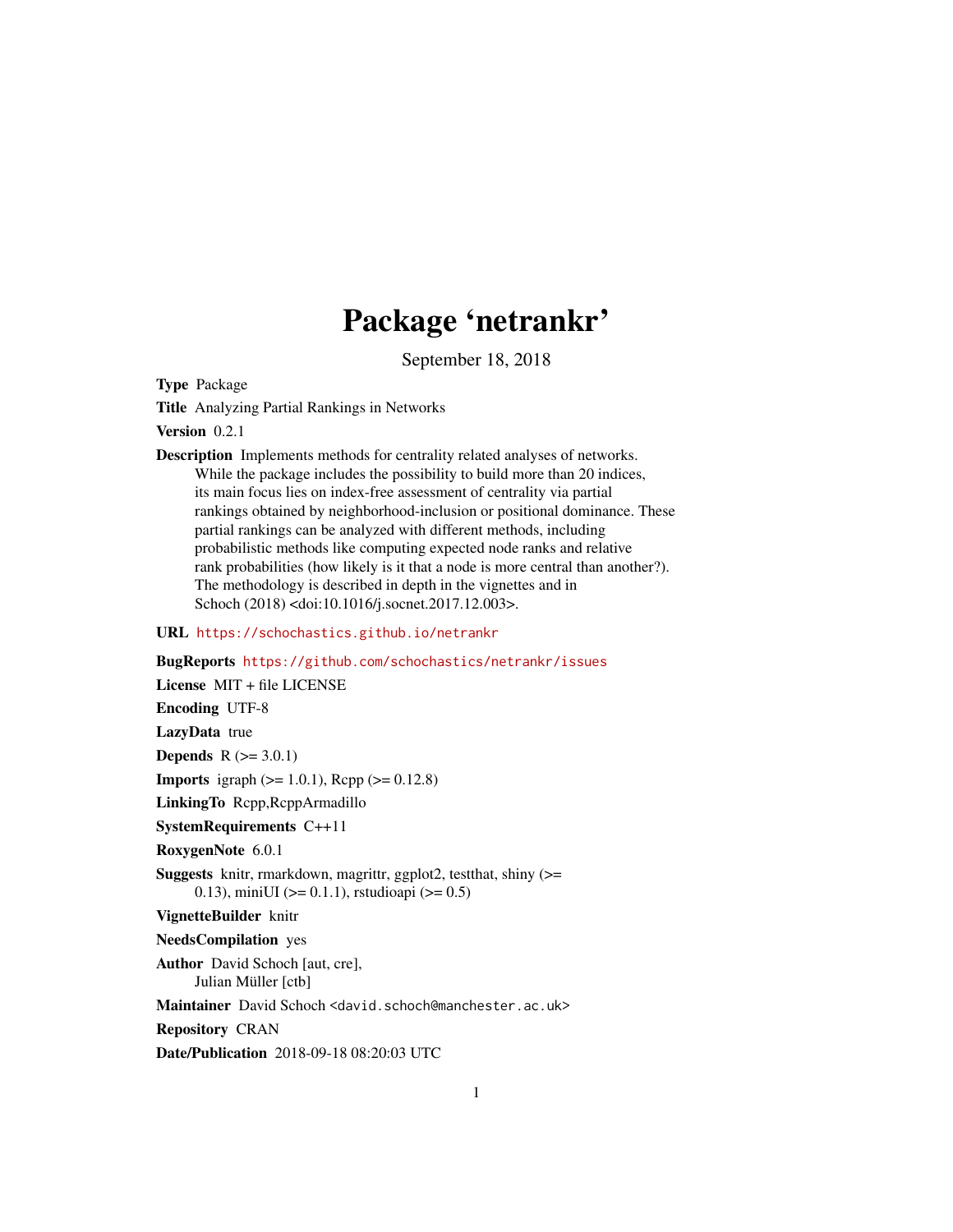# Package 'netrankr'

September 18, 2018

<span id="page-0-0"></span>Type Package

Title Analyzing Partial Rankings in Networks

Version 0.2.1

Description Implements methods for centrality related analyses of networks. While the package includes the possibility to build more than 20 indices, its main focus lies on index-free assessment of centrality via partial rankings obtained by neighborhood-inclusion or positional dominance. These partial rankings can be analyzed with different methods, including probabilistic methods like computing expected node ranks and relative rank probabilities (how likely is it that a node is more central than another?). The methodology is described in depth in the vignettes and in Schoch (2018) <doi:10.1016/j.socnet.2017.12.003>.

#### URL <https://schochastics.github.io/netrankr>

BugReports <https://github.com/schochastics/netrankr/issues> License MIT + file LICENSE Encoding UTF-8 LazyData true **Depends**  $R$  ( $>= 3.0.1$ ) **Imports** igraph  $(>= 1.0.1)$ , Rcpp  $(>= 0.12.8)$ LinkingTo Rcpp,RcppArmadillo SystemRequirements C++11 RoxygenNote 6.0.1 Suggests knitr, rmarkdown, magrittr, ggplot2, testthat, shiny (>= 0.13), miniUI ( $>= 0.1.1$ ), rstudioapi ( $>= 0.5$ ) VignetteBuilder knitr NeedsCompilation yes Author David Schoch [aut, cre], Julian Müller [ctb] Maintainer David Schoch <david.schoch@manchester.ac.uk> Repository CRAN Date/Publication 2018-09-18 08:20:03 UTC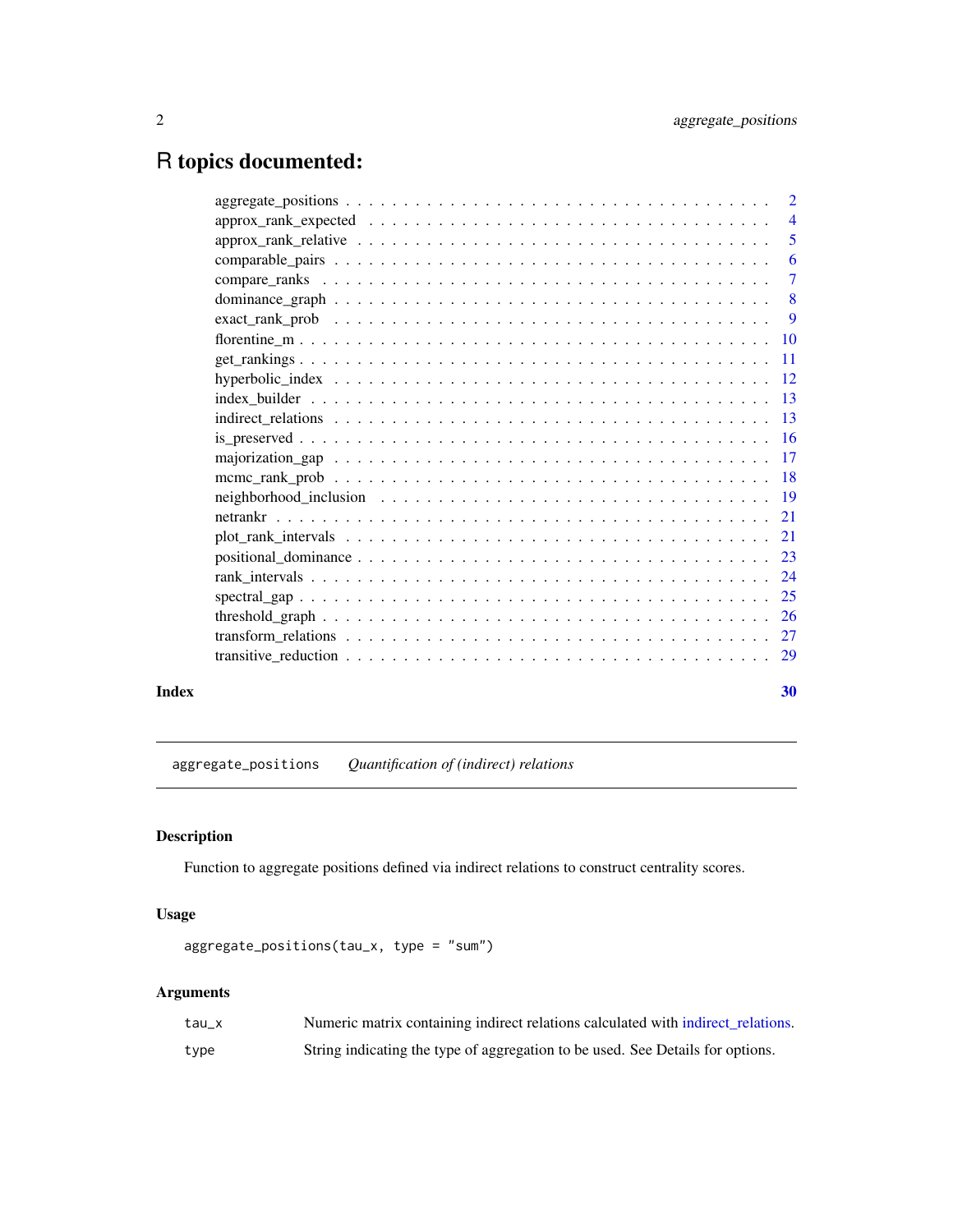## <span id="page-1-0"></span>R topics documented:

|       |                                                                                                                     | 6              |
|-------|---------------------------------------------------------------------------------------------------------------------|----------------|
|       |                                                                                                                     | $\overline{7}$ |
|       |                                                                                                                     |                |
|       |                                                                                                                     |                |
|       |                                                                                                                     |                |
|       |                                                                                                                     |                |
|       |                                                                                                                     |                |
|       |                                                                                                                     |                |
|       |                                                                                                                     |                |
|       |                                                                                                                     |                |
|       |                                                                                                                     |                |
|       |                                                                                                                     |                |
|       | neighborhood_inclusion $\ldots \ldots \ldots \ldots \ldots \ldots \ldots \ldots \ldots \ldots \ldots \ldots \ldots$ |                |
|       |                                                                                                                     |                |
|       |                                                                                                                     |                |
|       |                                                                                                                     |                |
|       |                                                                                                                     |                |
|       |                                                                                                                     |                |
|       |                                                                                                                     |                |
|       |                                                                                                                     |                |
|       |                                                                                                                     |                |
| Index |                                                                                                                     | 30             |

<span id="page-1-1"></span>aggregate\_positions *Quantification of (indirect) relations*

### Description

Function to aggregate positions defined via indirect relations to construct centrality scores.

#### Usage

```
aggregate_positions(tau_x, type = "sum")
```
#### Arguments

| tau x | Numeric matrix containing indirect relations calculated with indirect relations. |
|-------|----------------------------------------------------------------------------------|
| type  | String indicating the type of aggregation to be used. See Details for options.   |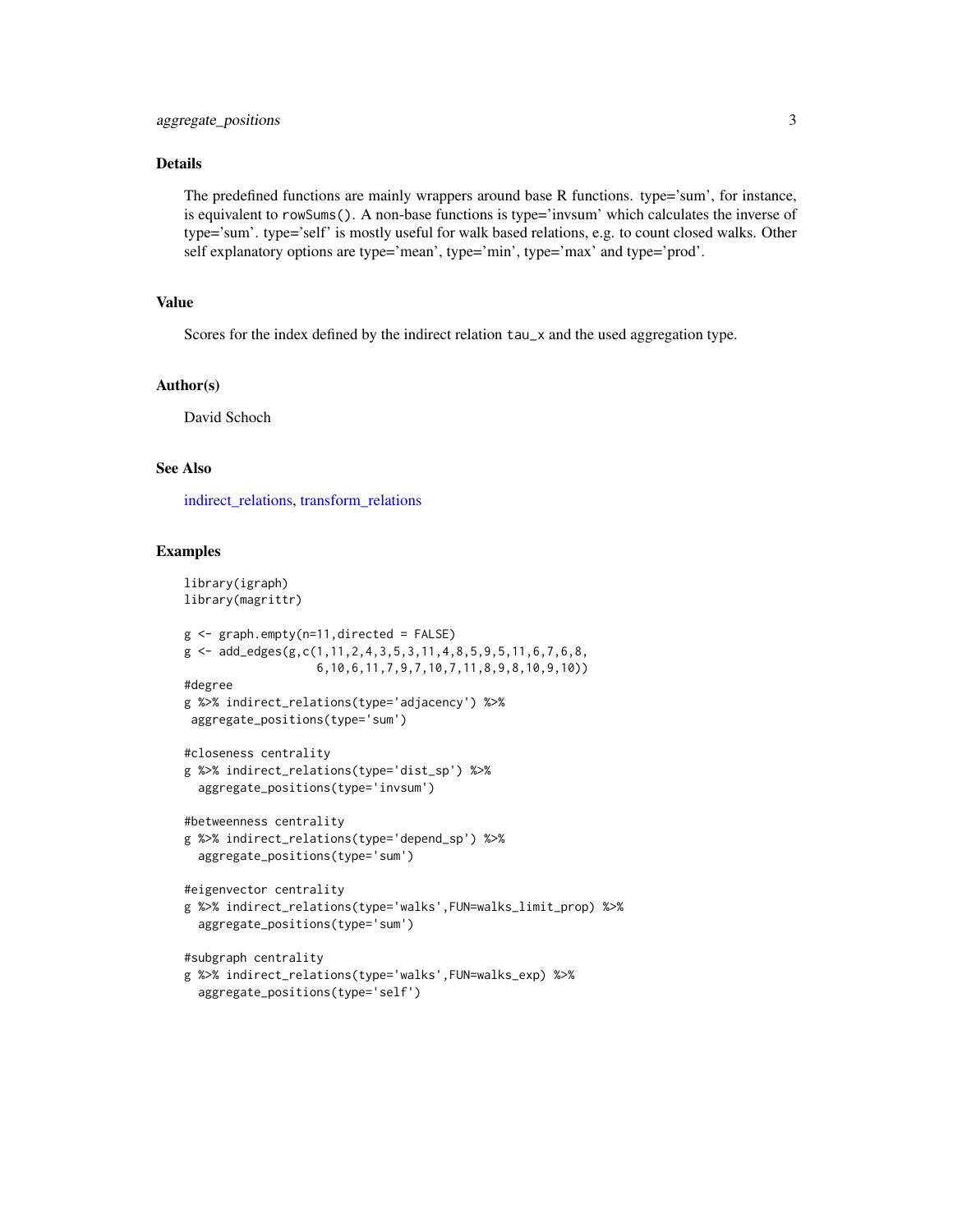#### <span id="page-2-0"></span>Details

The predefined functions are mainly wrappers around base R functions. type='sum', for instance, is equivalent to rowSums(). A non-base functions is type='invsum' which calculates the inverse of type='sum'. type='self' is mostly useful for walk based relations, e.g. to count closed walks. Other self explanatory options are type='mean', type='min', type='max' and type='prod'.

#### Value

Scores for the index defined by the indirect relation tau\_x and the used aggregation type.

#### Author(s)

David Schoch

#### See Also

[indirect\\_relations,](#page-12-1) [transform\\_relations](#page-26-1)

```
library(igraph)
library(magrittr)
g <- graph.empty(n=11,directed = FALSE)
g \leftarrow add\_edges(g, c(1, 11, 2, 4, 3, 5, 3, 11, 4, 8, 5, 9, 5, 11, 6, 7, 6, 8,6,10,6,11,7,9,7,10,7,11,8,9,8,10,9,10))
#degree
g %>% indirect_relations(type='adjacency') %>%
aggregate_positions(type='sum')
#closeness centrality
g %>% indirect_relations(type='dist_sp') %>%
  aggregate_positions(type='invsum')
#betweenness centrality
g %>% indirect_relations(type='depend_sp') %>%
  aggregate_positions(type='sum')
#eigenvector centrality
g %>% indirect_relations(type='walks',FUN=walks_limit_prop) %>%
  aggregate_positions(type='sum')
#subgraph centrality
g %>% indirect_relations(type='walks',FUN=walks_exp) %>%
  aggregate_positions(type='self')
```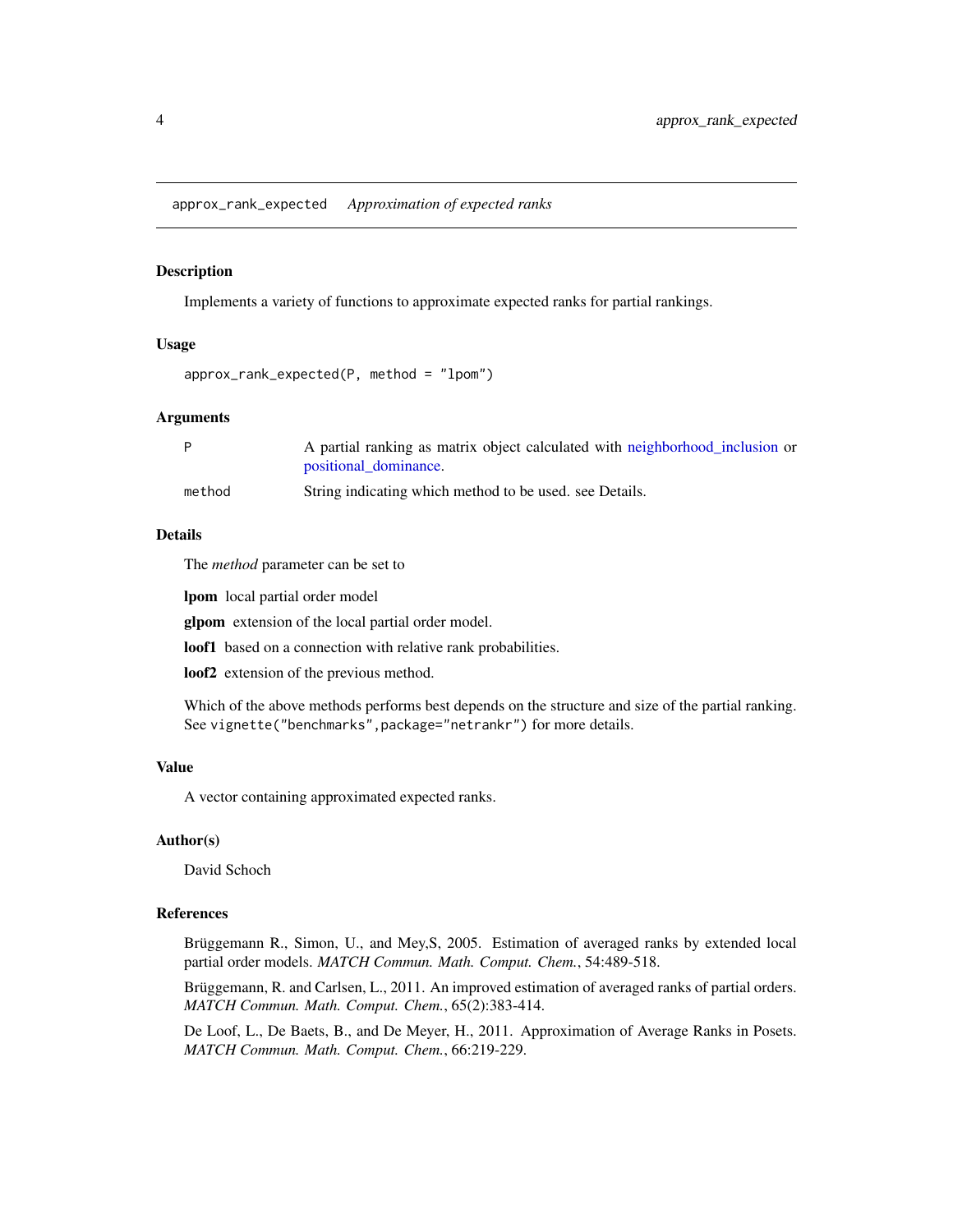<span id="page-3-1"></span><span id="page-3-0"></span>approx\_rank\_expected *Approximation of expected ranks*

#### Description

Implements a variety of functions to approximate expected ranks for partial rankings.

#### Usage

```
approx_rank_expected(P, method = "lpom")
```
#### Arguments

|        | A partial ranking as matrix object calculated with neighborhood inclusion or |
|--------|------------------------------------------------------------------------------|
|        | positional dominance.                                                        |
| method | String indicating which method to be used, see Details.                      |

#### Details

The *method* parameter can be set to

lpom local partial order model

glpom extension of the local partial order model.

loof1 based on a connection with relative rank probabilities.

loof2 extension of the previous method.

Which of the above methods performs best depends on the structure and size of the partial ranking. See vignette("benchmarks",package="netrankr") for more details.

#### Value

A vector containing approximated expected ranks.

#### Author(s)

David Schoch

#### References

Brüggemann R., Simon, U., and Mey,S, 2005. Estimation of averaged ranks by extended local partial order models. *MATCH Commun. Math. Comput. Chem.*, 54:489-518.

Brüggemann, R. and Carlsen, L., 2011. An improved estimation of averaged ranks of partial orders. *MATCH Commun. Math. Comput. Chem.*, 65(2):383-414.

De Loof, L., De Baets, B., and De Meyer, H., 2011. Approximation of Average Ranks in Posets. *MATCH Commun. Math. Comput. Chem.*, 66:219-229.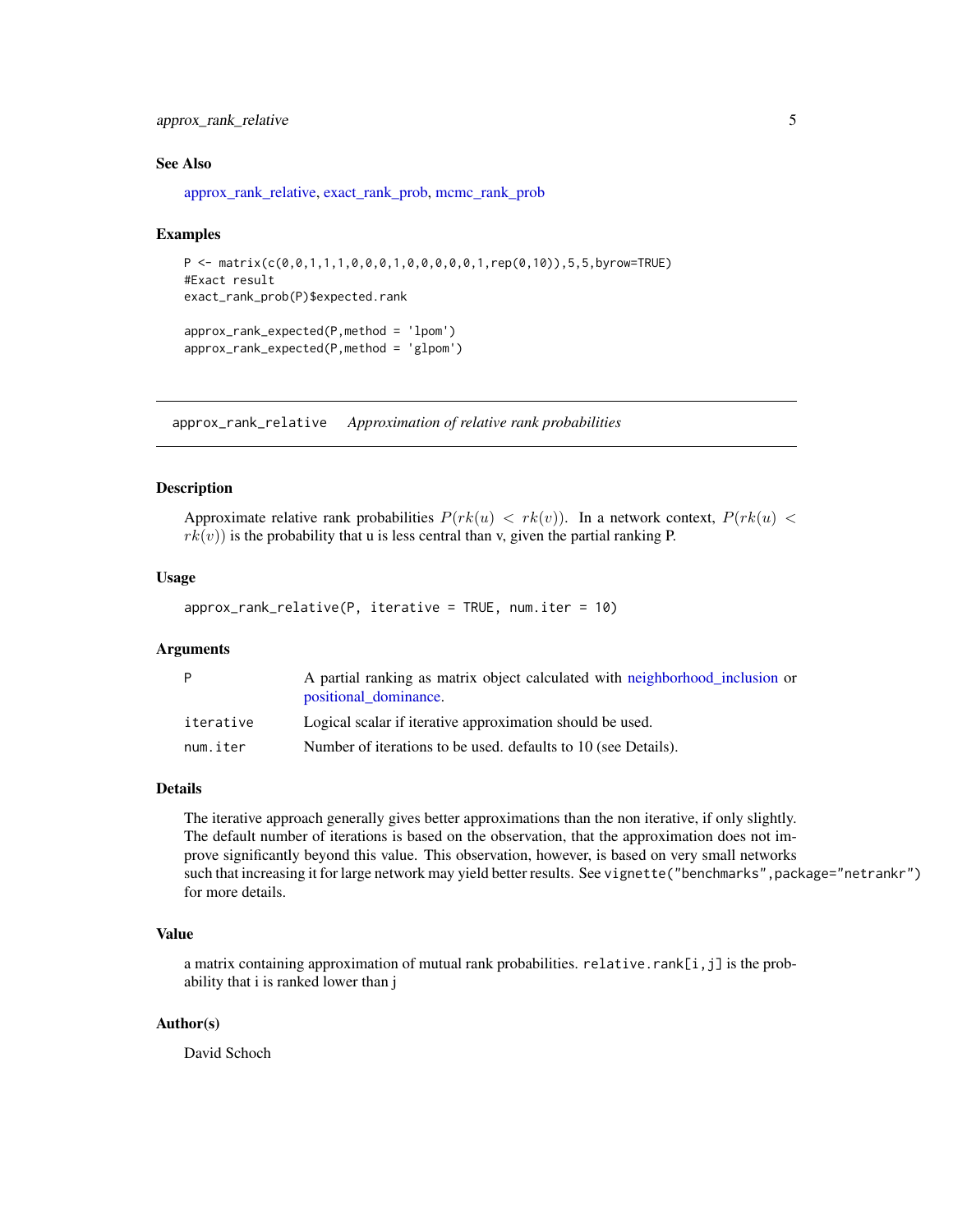#### <span id="page-4-0"></span>approx\_rank\_relative 5

#### See Also

[approx\\_rank\\_relative,](#page-4-1) [exact\\_rank\\_prob,](#page-8-1) [mcmc\\_rank\\_prob](#page-17-1)

#### Examples

```
P \leq - matrix(c(0,0,1,1,1,0,0,0,1,0,0,0,0,0,0,1,rep(0,10)),5,5,byrow=TRUE)
#Exact result
exact_rank_prob(P)$expected.rank
```

```
approx_rank_expected(P,method = 'lpom')
approx_rank_expected(P,method = 'glpom')
```
<span id="page-4-1"></span>approx\_rank\_relative *Approximation of relative rank probabilities*

#### Description

Approximate relative rank probabilities  $P(rk(u) < rk(v))$ . In a network context,  $P(rk(u) <$  $rk(v)$ ) is the probability that u is less central than v, given the partial ranking P.

#### Usage

```
approx_rank_relative(P, iterative = TRUE, num.iter = 10)
```
#### Arguments

| P         | A partial ranking as matrix object calculated with neighborhood inclusion or<br>positional dominance. |
|-----------|-------------------------------------------------------------------------------------------------------|
| iterative | Logical scalar if iterative approximation should be used.                                             |
| num.iter  | Number of iterations to be used, defaults to 10 (see Details).                                        |

#### Details

The iterative approach generally gives better approximations than the non iterative, if only slightly. The default number of iterations is based on the observation, that the approximation does not improve significantly beyond this value. This observation, however, is based on very small networks such that increasing it for large network may yield better results. See vignette("benchmarks",package="netrankr") for more details.

#### Value

a matrix containing approximation of mutual rank probabilities. relative.rank[i,j] is the probability that i is ranked lower than j

#### Author(s)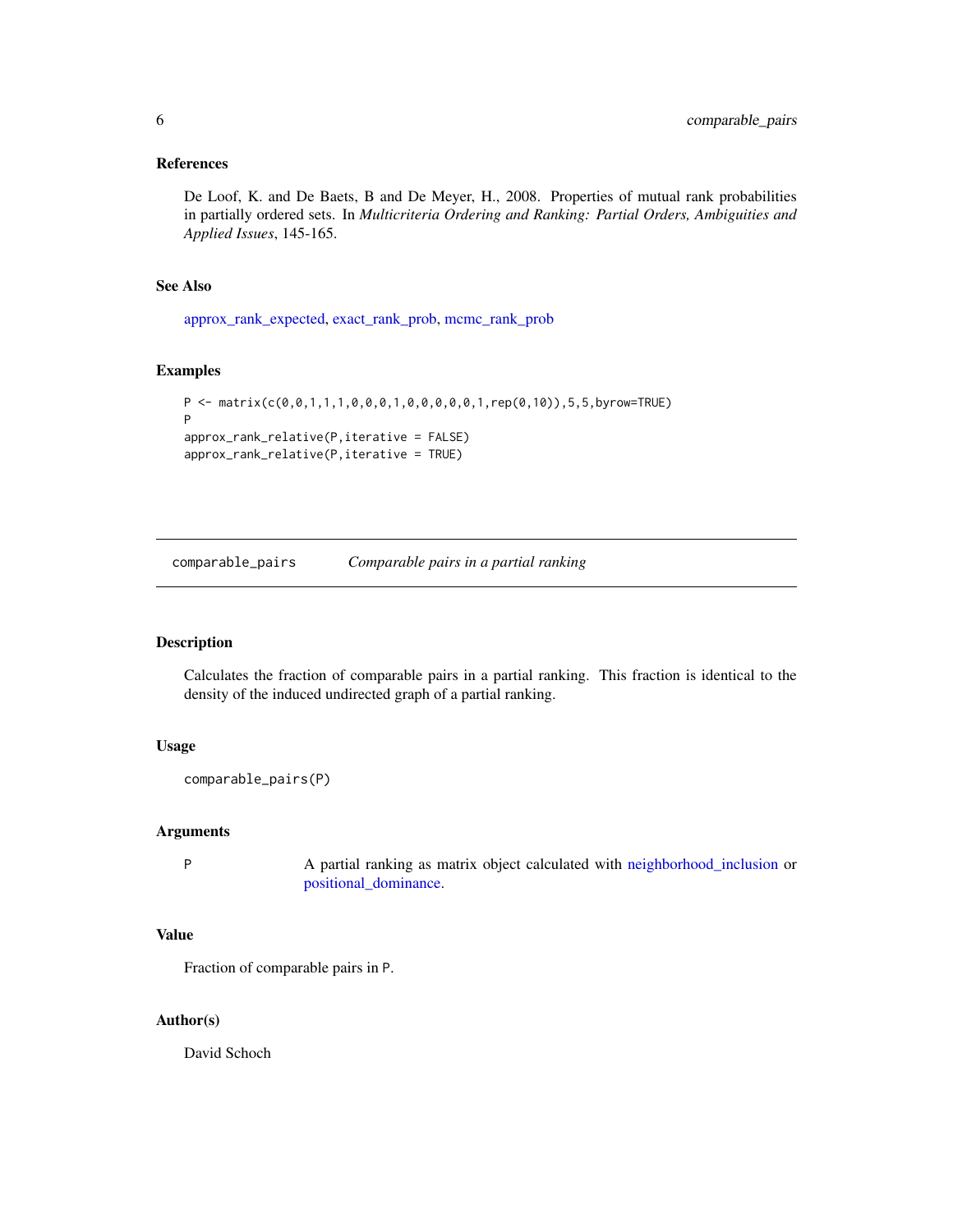#### <span id="page-5-0"></span>References

De Loof, K. and De Baets, B and De Meyer, H., 2008. Properties of mutual rank probabilities in partially ordered sets. In *Multicriteria Ordering and Ranking: Partial Orders, Ambiguities and Applied Issues*, 145-165.

#### See Also

[approx\\_rank\\_expected,](#page-3-1) [exact\\_rank\\_prob,](#page-8-1) [mcmc\\_rank\\_prob](#page-17-1)

#### Examples

```
P <- matrix(c(0,0,1,1,1,0,0,0,1,0,0,0,0,0,1,rep(0,10)),5,5,byrow=TRUE)
P
approx_rank_relative(P,iterative = FALSE)
approx_rank_relative(P,iterative = TRUE)
```
comparable\_pairs *Comparable pairs in a partial ranking*

#### Description

Calculates the fraction of comparable pairs in a partial ranking. This fraction is identical to the density of the induced undirected graph of a partial ranking.

#### Usage

```
comparable_pairs(P)
```
#### Arguments

P A partial ranking as matrix object calculated with [neighborhood\\_inclusion](#page-18-1) or [positional\\_dominance.](#page-22-1)

#### Value

Fraction of comparable pairs in P.

#### Author(s)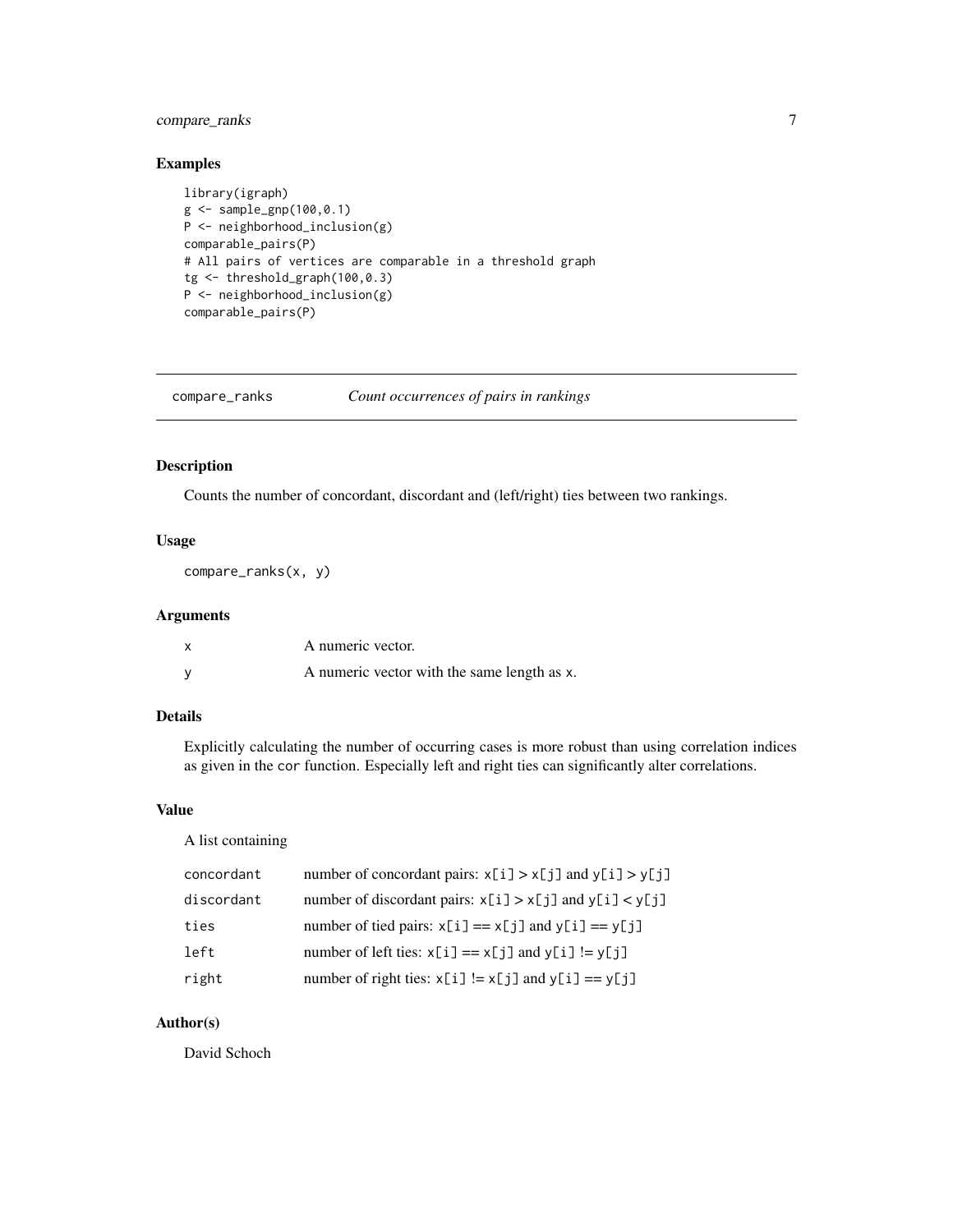#### <span id="page-6-0"></span>compare\_ranks 7

#### Examples

```
library(igraph)
g <- sample_gnp(100,0.1)
P <- neighborhood_inclusion(g)
comparable_pairs(P)
# All pairs of vertices are comparable in a threshold graph
tg <- threshold_graph(100,0.3)
P <- neighborhood_inclusion(g)
comparable_pairs(P)
```

| compare_ranks | Count occurrences of pairs in rankings |  |  |
|---------------|----------------------------------------|--|--|
|               |                                        |  |  |

#### Description

Counts the number of concordant, discordant and (left/right) ties between two rankings.

#### Usage

```
compare_ranks(x, y)
```
#### Arguments

| A numeric vector.                           |
|---------------------------------------------|
| A numeric vector with the same length as x. |

#### Details

Explicitly calculating the number of occurring cases is more robust than using correlation indices as given in the cor function. Especially left and right ties can significantly alter correlations.

#### Value

A list containing

| concordant | number of concordant pairs: $x[i] > x[j]$ and $y[i] > y[j]$ |
|------------|-------------------------------------------------------------|
| discordant | number of discordant pairs: $x[i] > x[j]$ and $y[i] < y[j]$ |
| ties       | number of tied pairs: $x[i] == x[j]$ and $y[i] == y[j]$     |
| left       | number of left ties: $x[i] == x[j]$ and $y[i] != y[j]$      |
| right      | number of right ties: $x[i] := x[j]$ and $y[i] == y[j]$     |

#### Author(s)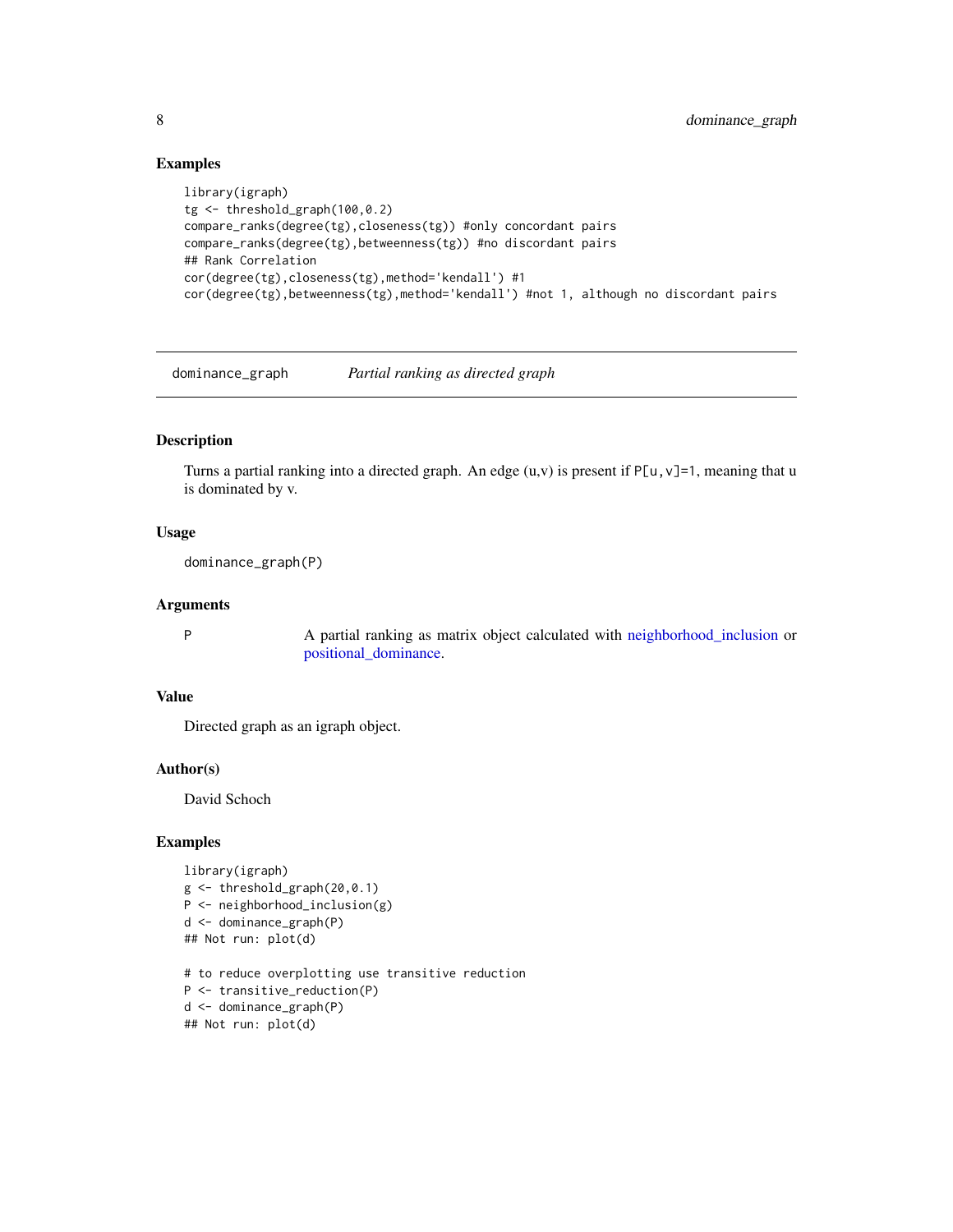#### Examples

```
library(igraph)
tg <- threshold_graph(100,0.2)
compare_ranks(degree(tg),closeness(tg)) #only concordant pairs
compare_ranks(degree(tg),betweenness(tg)) #no discordant pairs
## Rank Correlation
cor(degree(tg),closeness(tg),method='kendall') #1
cor(degree(tg),betweenness(tg),method='kendall') #not 1, although no discordant pairs
```
dominance\_graph *Partial ranking as directed graph*

#### Description

Turns a partial ranking into a directed graph. An edge  $(u, v)$  is present if P[u, v]=1, meaning that u is dominated by v.

#### Usage

```
dominance_graph(P)
```
#### Arguments

P A partial ranking as matrix object calculated with [neighborhood\\_inclusion](#page-18-1) or [positional\\_dominance.](#page-22-1)

#### Value

Directed graph as an igraph object.

#### Author(s)

David Schoch

```
library(igraph)
g <- threshold_graph(20,0.1)
P <- neighborhood_inclusion(g)
d <- dominance_graph(P)
## Not run: plot(d)
# to reduce overplotting use transitive reduction
P <- transitive_reduction(P)
d <- dominance_graph(P)
## Not run: plot(d)
```
<span id="page-7-0"></span>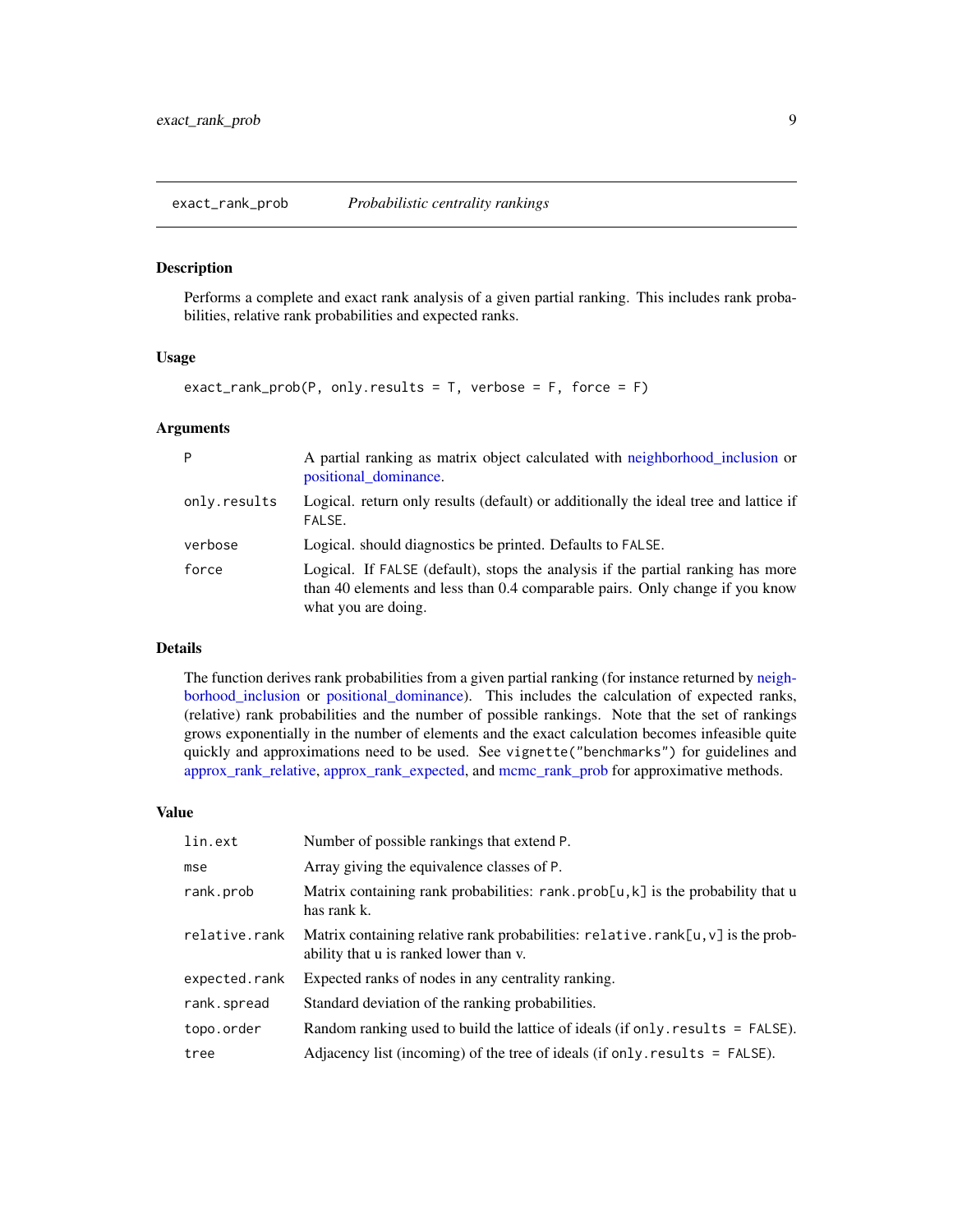#### <span id="page-8-1"></span><span id="page-8-0"></span>Description

Performs a complete and exact rank analysis of a given partial ranking. This includes rank probabilities, relative rank probabilities and expected ranks.

#### Usage

```
exact_rank_prob(P, only.results = T, verbose = F, force = F)
```
#### Arguments

| P            | A partial ranking as matrix object calculated with neighborhood inclusion or<br>positional_dominance.                                                                                  |
|--------------|----------------------------------------------------------------------------------------------------------------------------------------------------------------------------------------|
| only.results | Logical. return only results (default) or additionally the ideal tree and lattice if<br>FALSE.                                                                                         |
| verbose      | Logical, should diagnostics be printed. Defaults to FALSE.                                                                                                                             |
| force        | Logical. If FALSE (default), stops the analysis if the partial ranking has more<br>than 40 elements and less than 0.4 comparable pairs. Only change if you know<br>what you are doing. |

#### Details

The function derives rank probabilities from a given partial ranking (for instance returned by [neigh](#page-18-1)[borhood\\_inclusion](#page-18-1) or [positional\\_dominance\)](#page-22-1). This includes the calculation of expected ranks, (relative) rank probabilities and the number of possible rankings. Note that the set of rankings grows exponentially in the number of elements and the exact calculation becomes infeasible quite quickly and approximations need to be used. See vignette("benchmarks") for guidelines and [approx\\_rank\\_relative,](#page-4-1) [approx\\_rank\\_expected,](#page-3-1) and [mcmc\\_rank\\_prob](#page-17-1) for approximative methods.

#### Value

| lin.ext       | Number of possible rankings that extend P.                                                                                             |
|---------------|----------------------------------------------------------------------------------------------------------------------------------------|
| mse           | Array giving the equivalence classes of P.                                                                                             |
| rank.prob     | Matrix containing rank probabilities: rank.prob[u,k] is the probability that u<br>has rank k.                                          |
| relative.rank | Matrix containing relative rank probabilities: $relative.random$ , $rank[u, v]$ is the prob-<br>ability that u is ranked lower than v. |
| expected.rank | Expected ranks of nodes in any centrality ranking.                                                                                     |
| rank.spread   | Standard deviation of the ranking probabilities.                                                                                       |
| topo.order    | Random ranking used to build the lattice of ideals (if only $results = FALSE$ ).                                                       |
| tree          | Adjacency list (incoming) of the tree of ideals (if only $results = FALSE$ ).                                                          |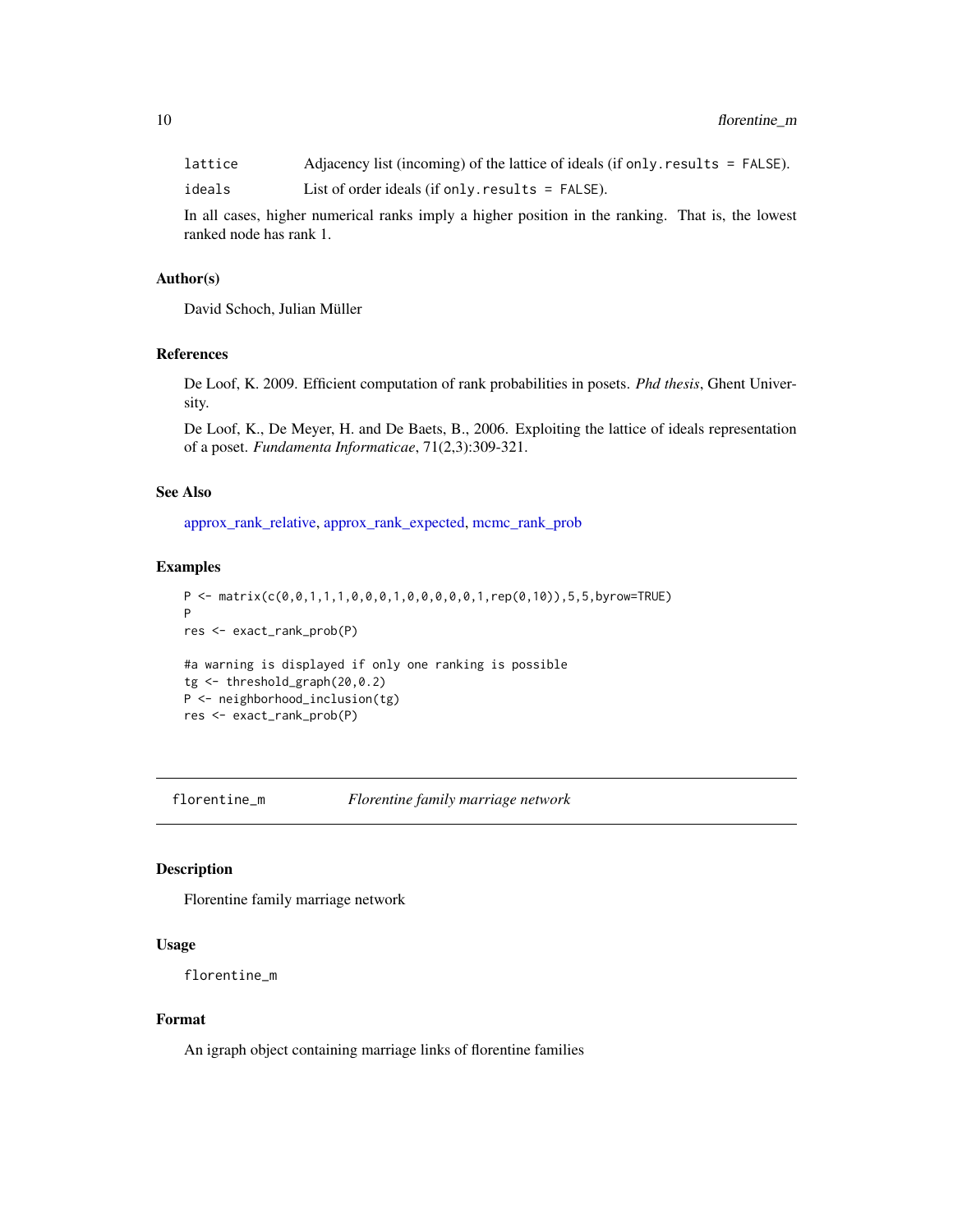<span id="page-9-0"></span>lattice Adjacency list (incoming) of the lattice of ideals (if only.results = FALSE). ideals List of order ideals (if only.results = FALSE).

In all cases, higher numerical ranks imply a higher position in the ranking. That is, the lowest ranked node has rank 1.

#### Author(s)

David Schoch, Julian Müller

#### References

De Loof, K. 2009. Efficient computation of rank probabilities in posets. *Phd thesis*, Ghent University.

De Loof, K., De Meyer, H. and De Baets, B., 2006. Exploiting the lattice of ideals representation of a poset. *Fundamenta Informaticae*, 71(2,3):309-321.

#### See Also

[approx\\_rank\\_relative,](#page-4-1) [approx\\_rank\\_expected,](#page-3-1) [mcmc\\_rank\\_prob](#page-17-1)

#### Examples

```
P <- matrix(c(0,0,1,1,1,0,0,0,1,0,0,0,0,0,1,rep(0,10)),5,5,byrow=TRUE)
P
res <- exact_rank_prob(P)
#a warning is displayed if only one ranking is possible
tg <- threshold_graph(20,0.2)
P <- neighborhood_inclusion(tg)
res <- exact_rank_prob(P)
```
florentine\_m *Florentine family marriage network*

#### Description

Florentine family marriage network

#### Usage

```
florentine_m
```
#### Format

An igraph object containing marriage links of florentine families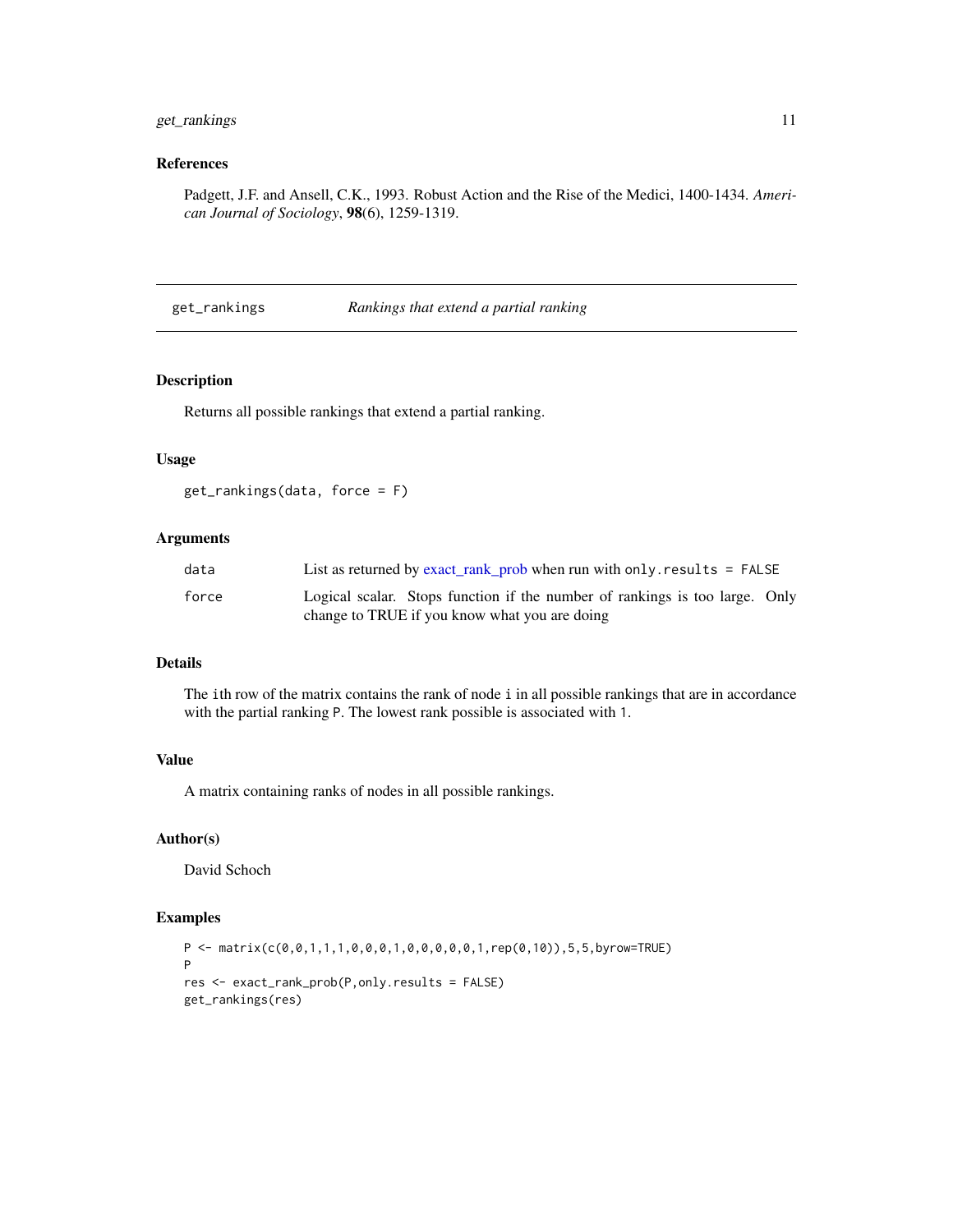#### <span id="page-10-0"></span>get\_rankings 11

#### References

Padgett, J.F. and Ansell, C.K., 1993. Robust Action and the Rise of the Medici, 1400-1434. *American Journal of Sociology*, 98(6), 1259-1319.

get\_rankings *Rankings that extend a partial ranking*

#### Description

Returns all possible rankings that extend a partial ranking.

#### Usage

get\_rankings(data, force = F)

#### Arguments

| data  | List as returned by exact_rank_prob when run with only. results = $FALSE$                                                    |
|-------|------------------------------------------------------------------------------------------------------------------------------|
| force | Logical scalar. Stops function if the number of rankings is too large. Only<br>change to TRUE if you know what you are doing |

#### Details

The ith row of the matrix contains the rank of node i in all possible rankings that are in accordance with the partial ranking P. The lowest rank possible is associated with 1.

#### Value

A matrix containing ranks of nodes in all possible rankings.

#### Author(s)

David Schoch

```
P <- matrix(c(0,0,1,1,1,0,0,0,1,0,0,0,0,0,1,rep(0,10)),5,5,byrow=TRUE)
P
res <- exact_rank_prob(P,only.results = FALSE)
get_rankings(res)
```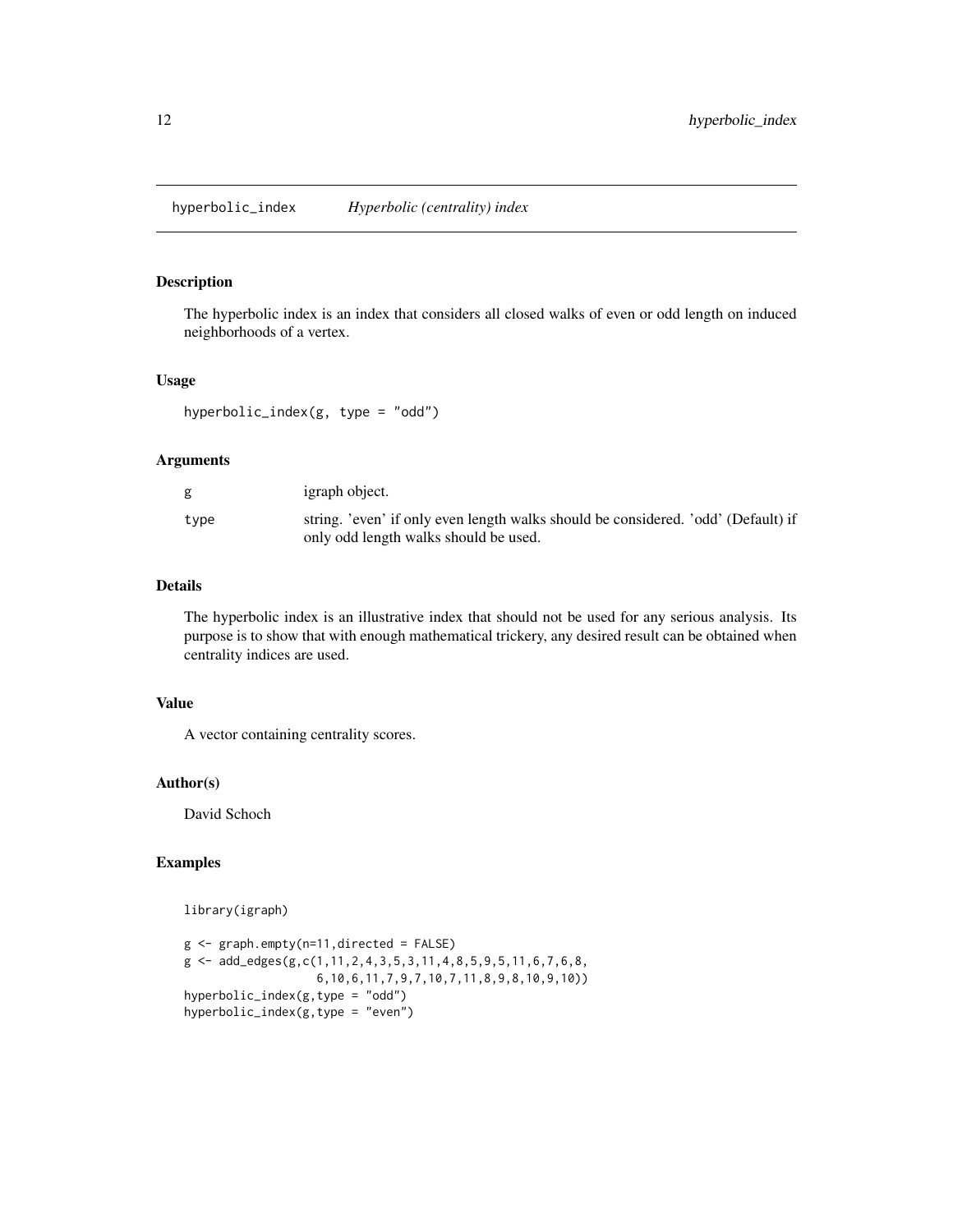<span id="page-11-0"></span>hyperbolic\_index *Hyperbolic (centrality) index*

#### Description

The hyperbolic index is an index that considers all closed walks of even or odd length on induced neighborhoods of a vertex.

#### Usage

hyperbolic\_index( $g$ , type = "odd")

#### Arguments

|      | igraph object.                                                                    |
|------|-----------------------------------------------------------------------------------|
| type | string. 'even' if only even length walks should be considered. 'odd' (Default) if |
|      | only odd length walks should be used.                                             |

#### Details

The hyperbolic index is an illustrative index that should not be used for any serious analysis. Its purpose is to show that with enough mathematical trickery, any desired result can be obtained when centrality indices are used.

#### Value

A vector containing centrality scores.

#### Author(s)

David Schoch

#### Examples

library(igraph)

```
g <- graph.empty(n=11,directed = FALSE)
g <- add_edges(g,c(1,11,2,4,3,5,3,11,4,8,5,9,5,11,6,7,6,8,
                  6,10,6,11,7,9,7,10,7,11,8,9,8,10,9,10))
hyperbolic_index(g,type = "odd")
hyperbolic_index(g,type = "even")
```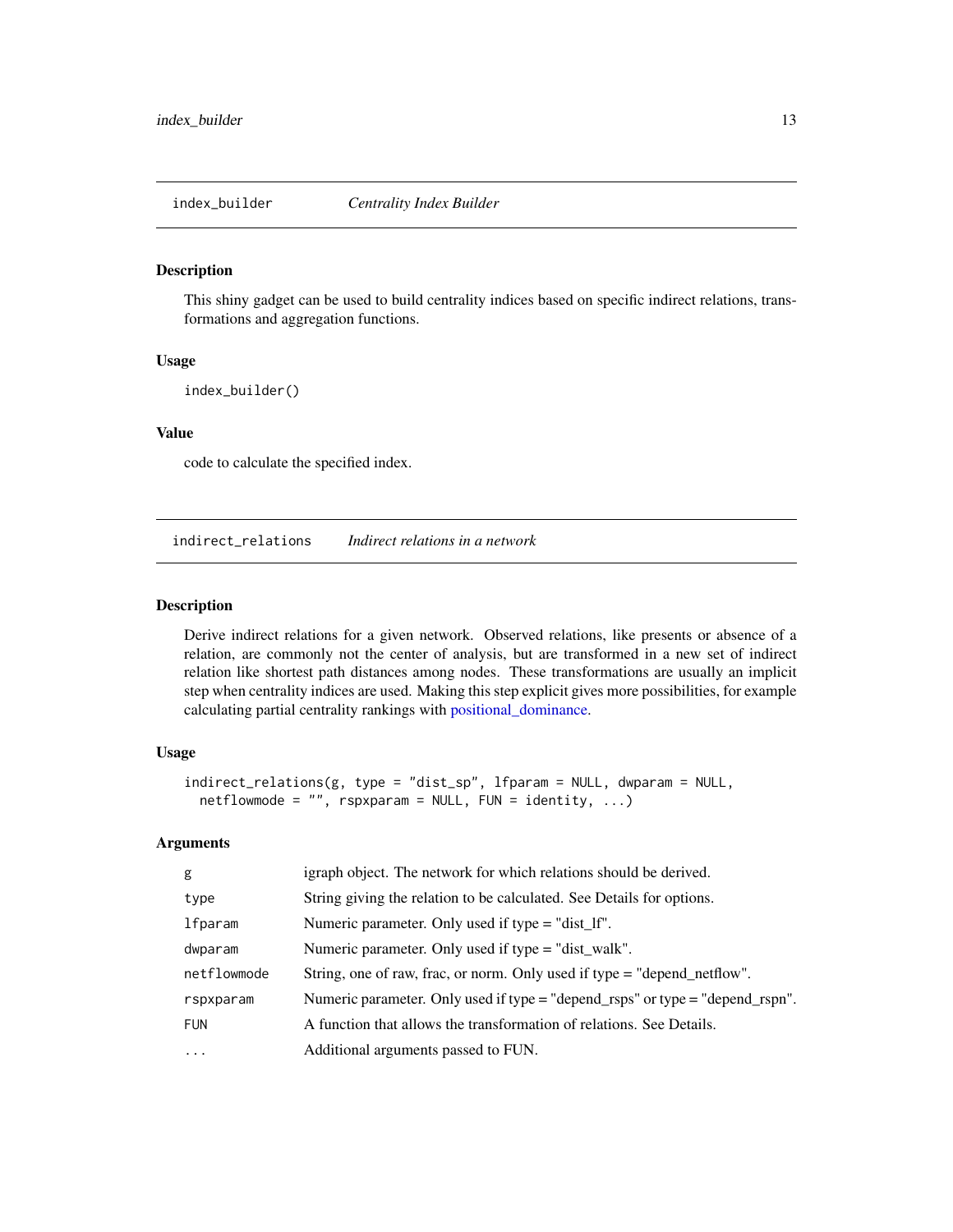<span id="page-12-0"></span>

#### Description

This shiny gadget can be used to build centrality indices based on specific indirect relations, transformations and aggregation functions.

#### Usage

index\_builder()

#### Value

code to calculate the specified index.

<span id="page-12-1"></span>indirect\_relations *Indirect relations in a network*

#### Description

Derive indirect relations for a given network. Observed relations, like presents or absence of a relation, are commonly not the center of analysis, but are transformed in a new set of indirect relation like shortest path distances among nodes. These transformations are usually an implicit step when centrality indices are used. Making this step explicit gives more possibilities, for example calculating partial centrality rankings with [positional\\_dominance.](#page-22-1)

#### Usage

```
indirect_relations(g, type = "dist_sp", lfparam = NULL, dwparam = NULL,
 netflowmode = "", rspxparam = NULL, FUN = identity, ...)
```
#### Arguments

| g           | igraph object. The network for which relations should be derived.                 |
|-------------|-----------------------------------------------------------------------------------|
| type        | String giving the relation to be calculated. See Details for options.             |
| lfparam     | Numeric parameter. Only used if type = "dist_lf".                                 |
| dwparam     | Numeric parameter. Only used if type = "dist_walk".                               |
| netflowmode | String, one of raw, frac, or norm. Only used if type = "depend_netflow".          |
| rspxparam   | Numeric parameter. Only used if type $=$ "depend_rsps" or type $=$ "depend_rspn". |
| <b>FUN</b>  | A function that allows the transformation of relations. See Details.              |
| $\ddotsc$   | Additional arguments passed to FUN.                                               |
|             |                                                                                   |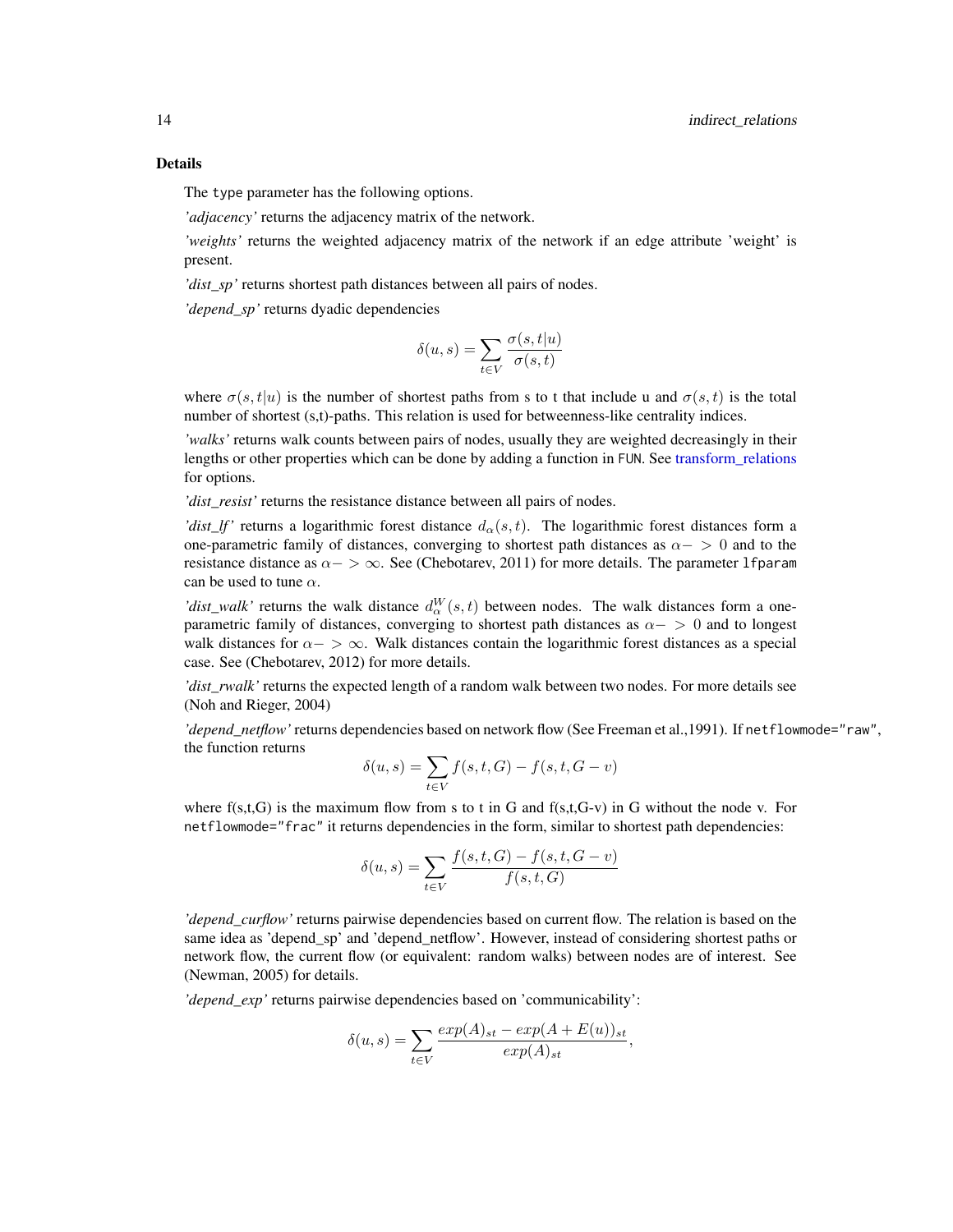<span id="page-13-0"></span>The type parameter has the following options.

*'adjacency'* returns the adjacency matrix of the network.

*'weights'* returns the weighted adjacency matrix of the network if an edge attribute 'weight' is present.

*'dist sp'* returns shortest path distances between all pairs of nodes.

*'depend\_sp'* returns dyadic dependencies

$$
\delta(u,s) = \sum_{t \in V} \frac{\sigma(s,t|u)}{\sigma(s,t)}
$$

where  $\sigma(s,t|u)$  is the number of shortest paths from s to t that include u and  $\sigma(s,t)$  is the total number of shortest (s,t)-paths. This relation is used for betweenness-like centrality indices.

*'walks'* returns walk counts between pairs of nodes, usually they are weighted decreasingly in their lengths or other properties which can be done by adding a function in FUN. See [transform\\_relations](#page-26-1) for options.

*'dist\_resist'* returns the resistance distance between all pairs of nodes.

*'dist\_lf'* returns a logarithmic forest distance  $d_{\alpha}(s, t)$ . The logarithmic forest distances form a one-parametric family of distances, converging to shortest path distances as  $\alpha$  − > 0 and to the resistance distance as  $\alpha$  >  $\infty$ . See (Chebotarev, 2011) for more details. The parameter 1 f param can be used to tune  $\alpha$ .

'dist\_walk' returns the walk distance  $d_{\alpha}^{W}(s,t)$  between nodes. The walk distances form a oneparametric family of distances, converging to shortest path distances as  $\alpha$  > 0 and to longest walk distances for  $\alpha$   $>$   $\infty$ . Walk distances contain the logarithmic forest distances as a special case. See (Chebotarev, 2012) for more details.

*'dist\_rwalk'* returns the expected length of a random walk between two nodes. For more details see (Noh and Rieger, 2004)

*'depend\_netflow'* returns dependencies based on network flow (See Freeman et al.,1991). If netflowmode="raw", the function returns

$$
\delta(u, s) = \sum_{t \in V} f(s, t, G) - f(s, t, G - v)
$$

where  $f(s,t,G)$  is the maximum flow from s to t in G and  $f(s,t,G-v)$  in G without the node v. For netflowmode="frac" it returns dependencies in the form, similar to shortest path dependencies:

$$
\delta(u,s) = \sum_{t \in V} \frac{f(s,t,G) - f(s,t,G-v)}{f(s,t,G)}
$$

*'depend\_curflow'* returns pairwise dependencies based on current flow. The relation is based on the same idea as 'depend\_sp' and 'depend\_netflow'. However, instead of considering shortest paths or network flow, the current flow (or equivalent: random walks) between nodes are of interest. See (Newman, 2005) for details.

*'depend\_exp'* returns pairwise dependencies based on 'communicability':

$$
\delta(u,s) = \sum_{t \in V} \frac{exp(A)_{st} - exp(A + E(u))_{st}}{exp(A)_{st}},
$$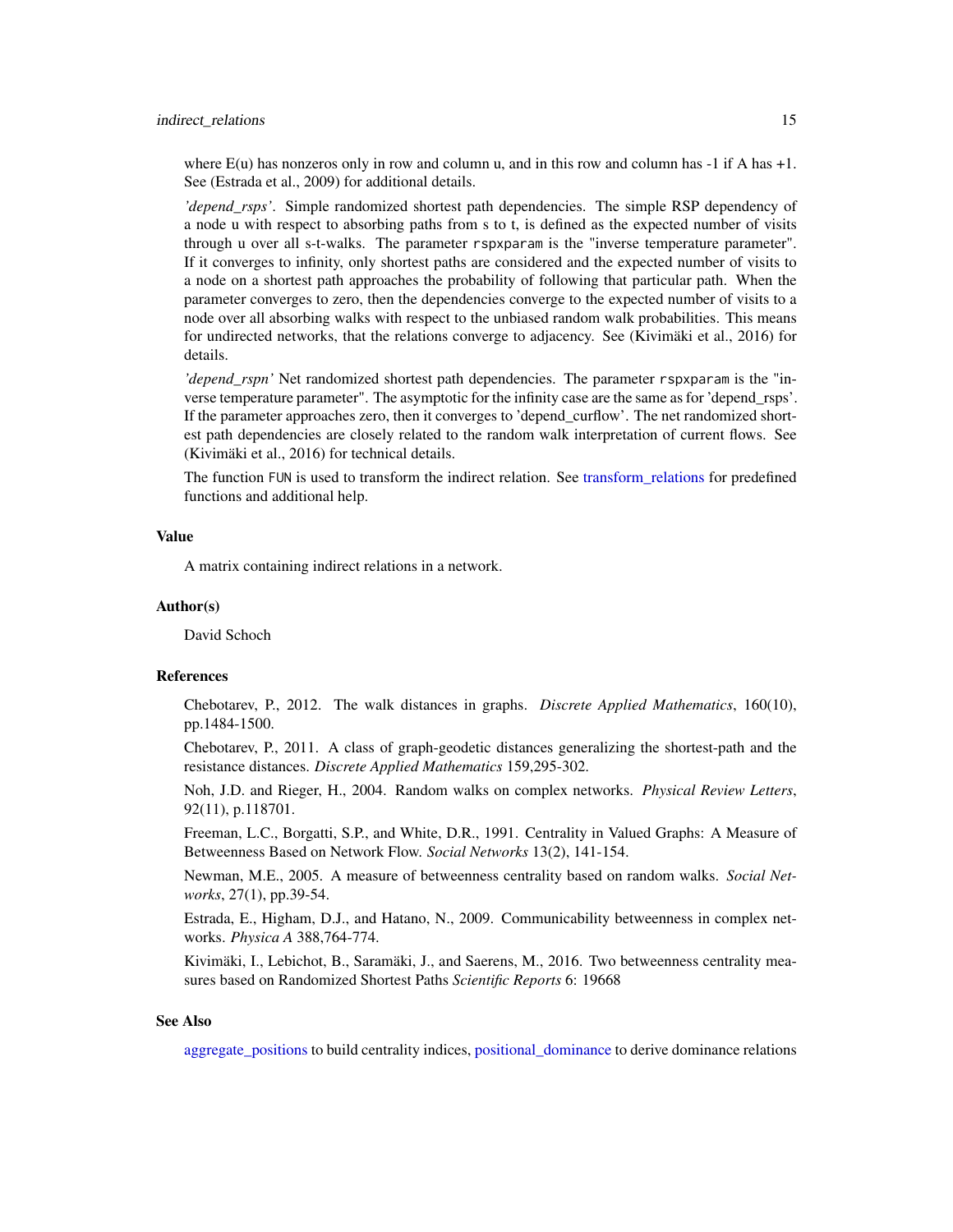<span id="page-14-0"></span>where  $E(u)$  has nonzeros only in row and column u, and in this row and column has  $-1$  if A has  $+1$ . See (Estrada et al., 2009) for additional details.

*'depend\_rsps'*. Simple randomized shortest path dependencies. The simple RSP dependency of a node u with respect to absorbing paths from s to t, is defined as the expected number of visits through u over all s-t-walks. The parameter rspxparam is the "inverse temperature parameter". If it converges to infinity, only shortest paths are considered and the expected number of visits to a node on a shortest path approaches the probability of following that particular path. When the parameter converges to zero, then the dependencies converge to the expected number of visits to a node over all absorbing walks with respect to the unbiased random walk probabilities. This means for undirected networks, that the relations converge to adjacency. See (Kivimäki et al., 2016) for details.

*'depend\_rspn'* Net randomized shortest path dependencies. The parameter rspxparam is the "inverse temperature parameter". The asymptotic for the infinity case are the same as for 'depend\_rsps'. If the parameter approaches zero, then it converges to 'depend\_curflow'. The net randomized shortest path dependencies are closely related to the random walk interpretation of current flows. See (Kivimäki et al., 2016) for technical details.

The function FUN is used to transform the indirect relation. See [transform\\_relations](#page-26-1) for predefined functions and additional help.

#### Value

A matrix containing indirect relations in a network.

#### Author(s)

David Schoch

#### References

Chebotarev, P., 2012. The walk distances in graphs. *Discrete Applied Mathematics*, 160(10), pp.1484-1500.

Chebotarev, P., 2011. A class of graph-geodetic distances generalizing the shortest-path and the resistance distances. *Discrete Applied Mathematics* 159,295-302.

Noh, J.D. and Rieger, H., 2004. Random walks on complex networks. *Physical Review Letters*, 92(11), p.118701.

Freeman, L.C., Borgatti, S.P., and White, D.R., 1991. Centrality in Valued Graphs: A Measure of Betweenness Based on Network Flow. *Social Networks* 13(2), 141-154.

Newman, M.E., 2005. A measure of betweenness centrality based on random walks. *Social Networks*, 27(1), pp.39-54.

Estrada, E., Higham, D.J., and Hatano, N., 2009. Communicability betweenness in complex networks. *Physica A* 388,764-774.

Kivimäki, I., Lebichot, B., Saramäki, J., and Saerens, M., 2016. Two betweenness centrality measures based on Randomized Shortest Paths *Scientific Reports* 6: 19668

#### See Also

[aggregate\\_positions](#page-1-1) to build centrality indices, [positional\\_dominance](#page-22-1) to derive dominance relations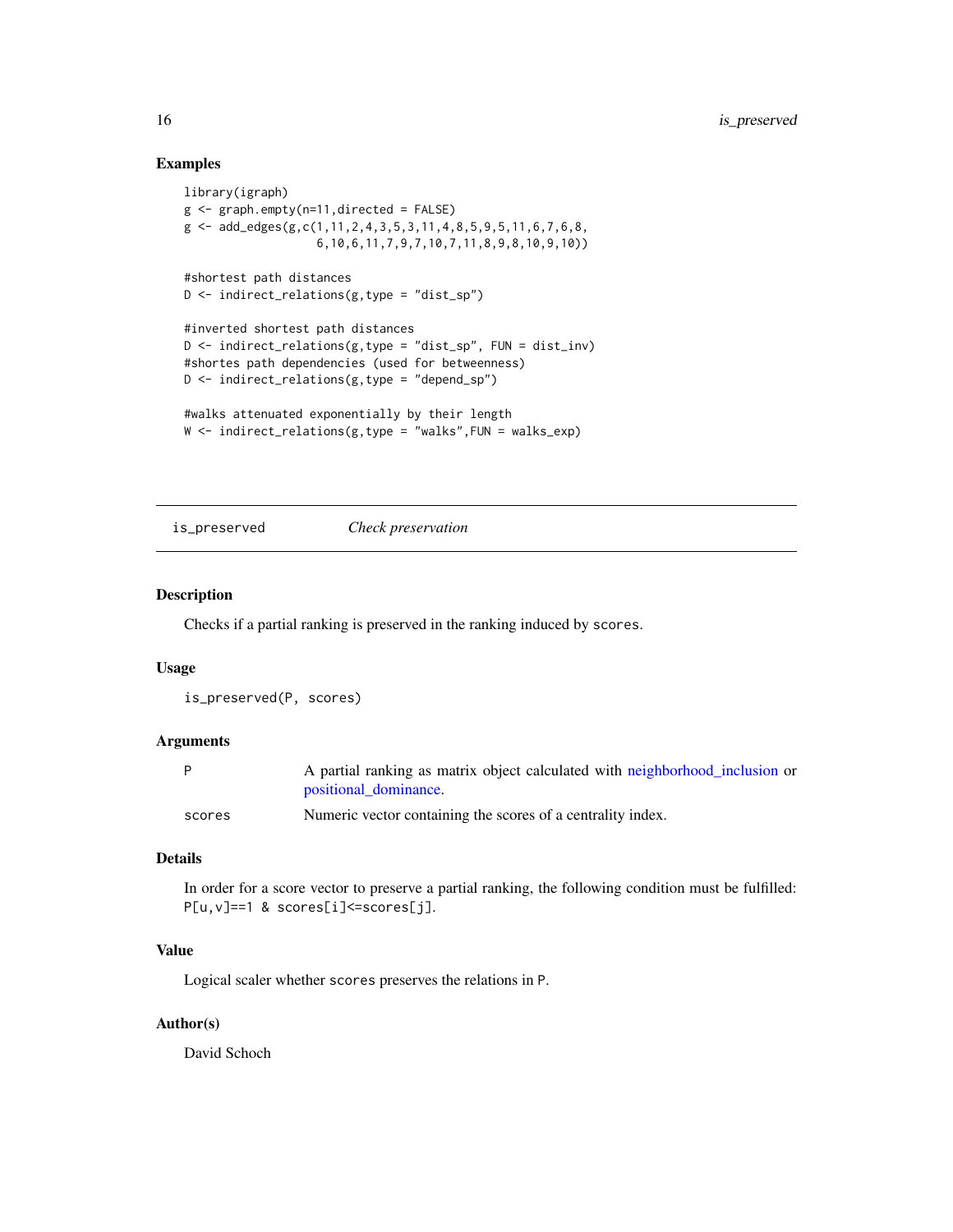#### Examples

```
library(igraph)
g \leftarrow graph.empty(n=11, directed = FALSE)g \leftarrow add\_edges(g, c(1, 11, 2, 4, 3, 5, 3, 11, 4, 8, 5, 9, 5, 11, 6, 7, 6, 8,6,10,6,11,7,9,7,10,7,11,8,9,8,10,9,10))
#shortest path distances
D \le - indirect_relations(g, type = "dist_sp")
#inverted shortest path distances
D \le indirect_relations(g, type = "dist_sp", FUN = dist_inv)
#shortes path dependencies (used for betweenness)
D \le - indirect_relations(g, type = "depend_sp")
#walks attenuated exponentially by their length
```

```
W \le indirect_relations(g,type = "walks", FUN = walks_exp)
```
is\_preserved *Check preservation*

#### Description

Checks if a partial ranking is preserved in the ranking induced by scores.

#### Usage

is\_preserved(P, scores)

#### Arguments

|        | A partial ranking as matrix object calculated with neighborhood_inclusion or |
|--------|------------------------------------------------------------------------------|
|        | positional dominance.                                                        |
| scores | Numeric vector containing the scores of a centrality index.                  |

#### Details

In order for a score vector to preserve a partial ranking, the following condition must be fulfilled: P[u,v]==1 & scores[i]<=scores[j].

#### Value

Logical scaler whether scores preserves the relations in P.

#### Author(s)

<span id="page-15-0"></span>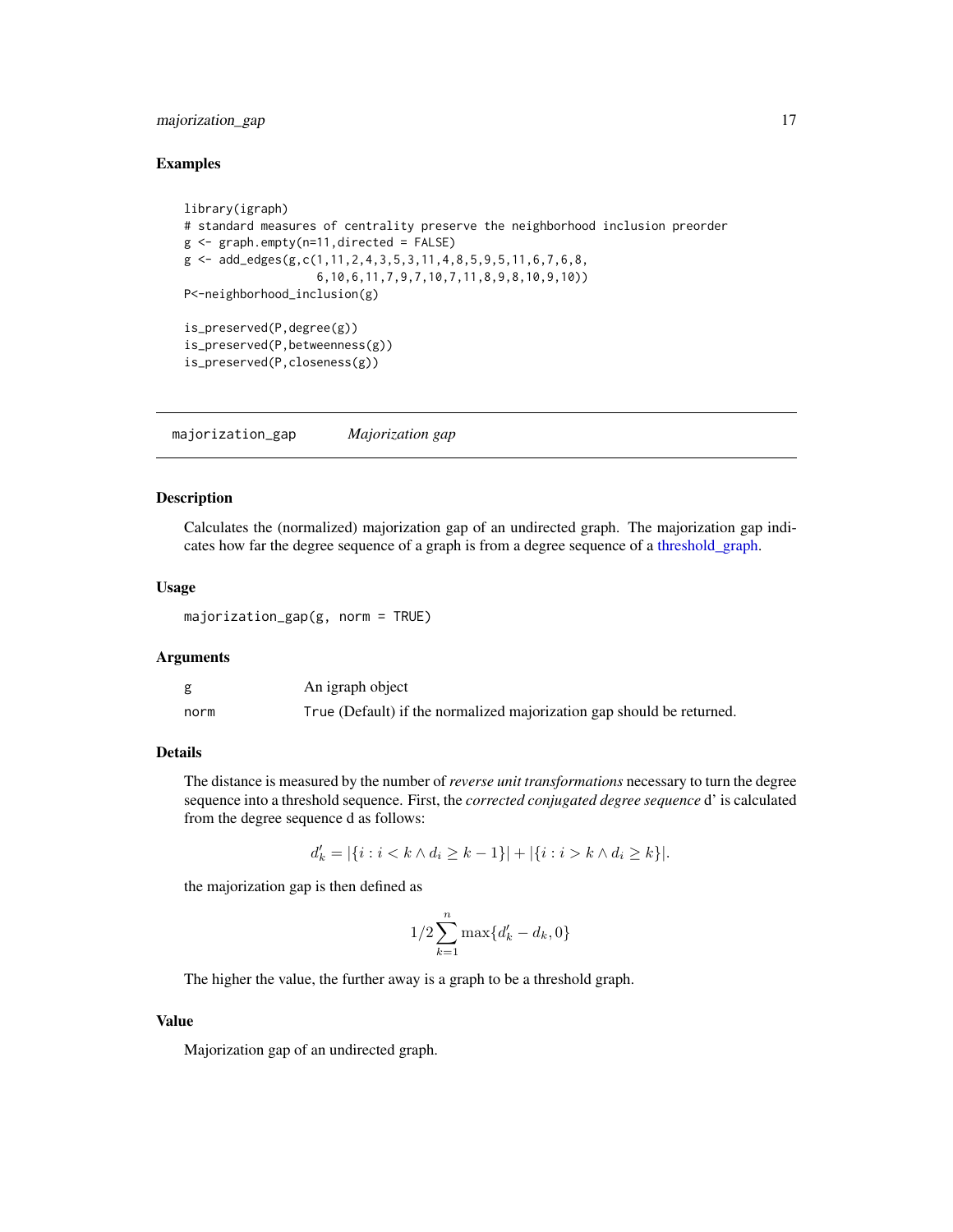#### <span id="page-16-0"></span>majorization\_gap 17

#### Examples

```
library(igraph)
# standard measures of centrality preserve the neighborhood inclusion preorder
g \leq - graph.empty(n=11,directed = FALSE)
g \leftarrow add\_edges(g, c(1, 11, 2, 4, 3, 5, 3, 11, 4, 8, 5, 9, 5, 11, 6, 7, 6, 8,6,10,6,11,7,9,7,10,7,11,8,9,8,10,9,10))
P<-neighborhood_inclusion(g)
is_preserved(P,degree(g))
is_preserved(P,betweenness(g))
is_preserved(P,closeness(g))
```
majorization\_gap *Majorization gap*

#### Description

Calculates the (normalized) majorization gap of an undirected graph. The majorization gap indicates how far the degree sequence of a graph is from a degree sequence of a [threshold\\_graph.](#page-25-1)

#### Usage

majorization\_gap(g, norm = TRUE)

#### Arguments

|      | An igraph object                                                      |
|------|-----------------------------------------------------------------------|
| norm | True (Default) if the normalized majorization gap should be returned. |

#### Details

The distance is measured by the number of *reverse unit transformations* necessary to turn the degree sequence into a threshold sequence. First, the *corrected conjugated degree sequence* d' is calculated from the degree sequence d as follows:

$$
d'_{k} = |\{i : i < k \land d_{i} \ge k - 1\}| + |\{i : i > k \land d_{i} \ge k\}|.
$$

the majorization gap is then defined as

$$
1/2\sum_{k=1}^{n}\max\{d_{k}'-d_{k},0\}
$$

The higher the value, the further away is a graph to be a threshold graph.

#### Value

Majorization gap of an undirected graph.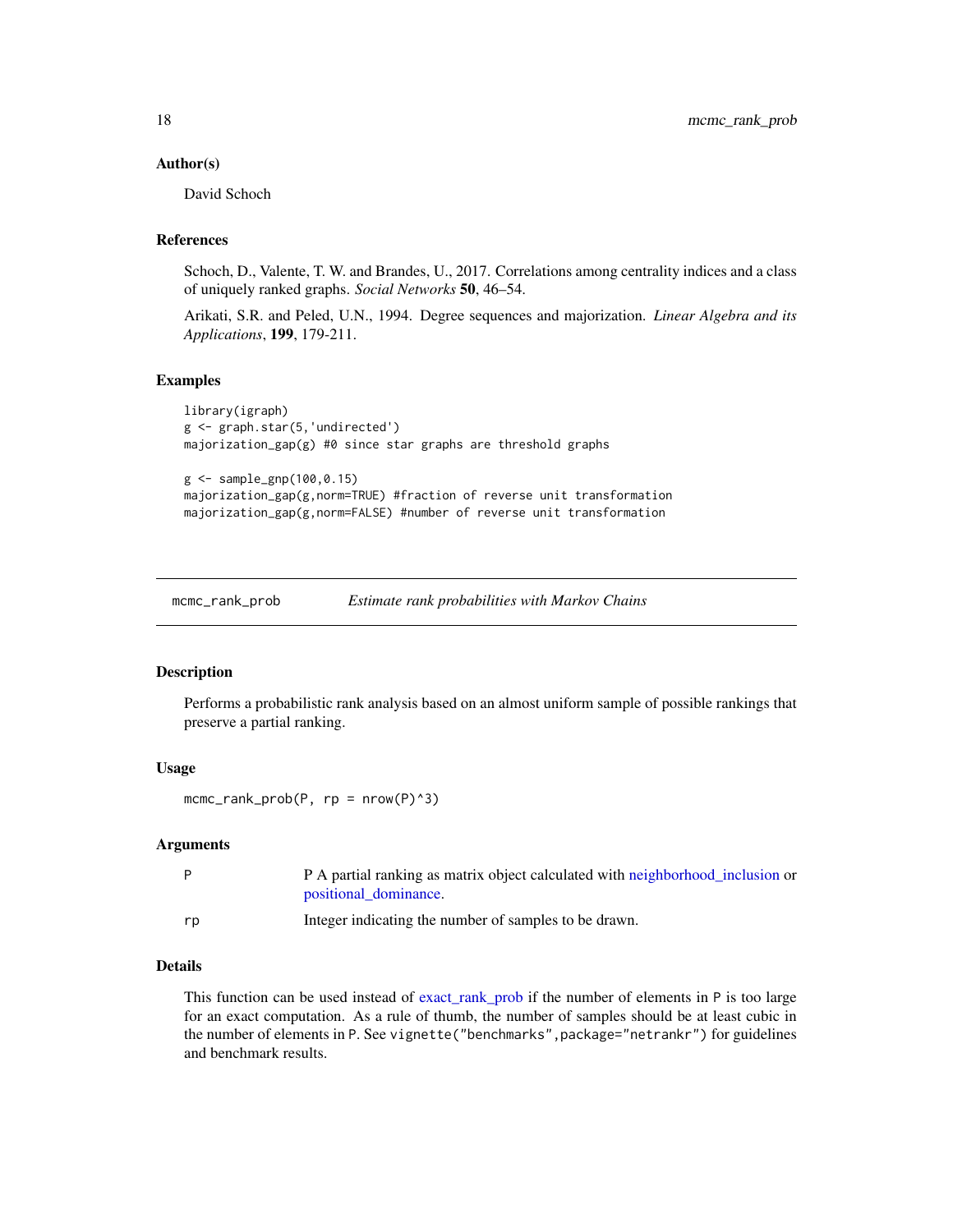#### <span id="page-17-0"></span>Author(s)

David Schoch

#### References

Schoch, D., Valente, T. W. and Brandes, U., 2017. Correlations among centrality indices and a class of uniquely ranked graphs. *Social Networks* 50, 46–54.

Arikati, S.R. and Peled, U.N., 1994. Degree sequences and majorization. *Linear Algebra and its Applications*, 199, 179-211.

#### Examples

```
library(igraph)
g <- graph.star(5,'undirected')
majorization_gap(g) #0 since star graphs are threshold graphs
g <- sample_gnp(100,0.15)
```
majorization\_gap(g,norm=TRUE) #fraction of reverse unit transformation majorization\_gap(g,norm=FALSE) #number of reverse unit transformation

<span id="page-17-1"></span>mcmc\_rank\_prob *Estimate rank probabilities with Markov Chains*

#### Description

Performs a probabilistic rank analysis based on an almost uniform sample of possible rankings that preserve a partial ranking.

#### Usage

 $mcmc$ \_rank\_prob(P, rp = nrow(P)^3)

#### Arguments

| P  | P A partial ranking as matrix object calculated with neighborhood inclusion or<br>positional dominance. |
|----|---------------------------------------------------------------------------------------------------------|
| rp | Integer indicating the number of samples to be drawn.                                                   |

#### Details

This function can be used instead of [exact\\_rank\\_prob](#page-8-1) if the number of elements in P is too large for an exact computation. As a rule of thumb, the number of samples should be at least cubic in the number of elements in P. See vignette("benchmarks",package="netrankr") for guidelines and benchmark results.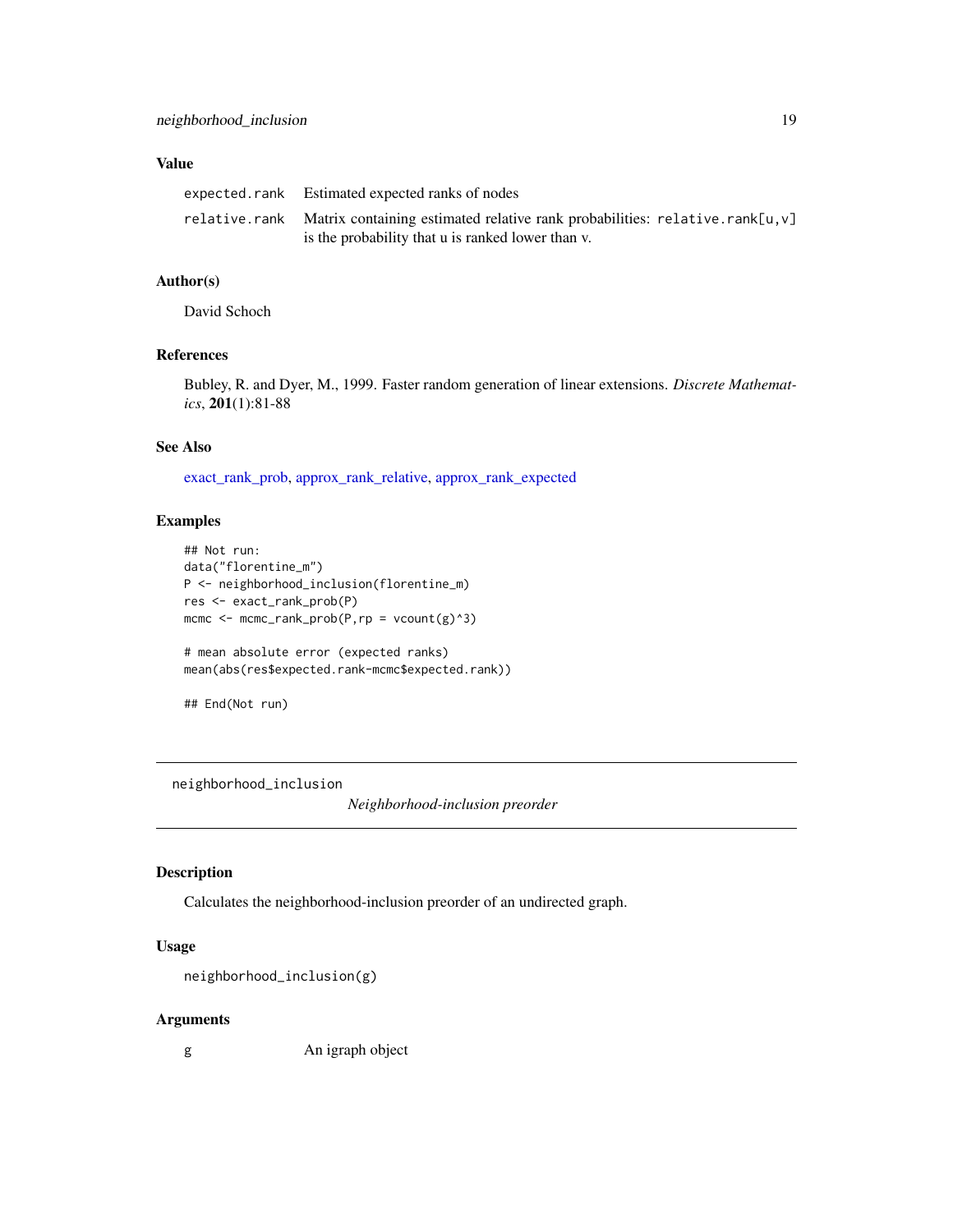#### <span id="page-18-0"></span>Value

| expected.rank Estimated expected ranks of nodes                                           |
|-------------------------------------------------------------------------------------------|
| relative.rank Matrix containing estimated relative rank probabilities: relative.rank[u,v] |
| is the probability that u is ranked lower than v.                                         |

#### Author(s)

David Schoch

#### References

Bubley, R. and Dyer, M., 1999. Faster random generation of linear extensions. *Discrete Mathematics*, 201(1):81-88

#### See Also

[exact\\_rank\\_prob,](#page-8-1) [approx\\_rank\\_relative,](#page-4-1) [approx\\_rank\\_expected](#page-3-1)

#### Examples

```
## Not run:
data("florentine_m")
P <- neighborhood_inclusion(florentine_m)
res <- exact_rank_prob(P)
mcmc \leq mcmc_rank_prob(P,rp = vcount(g)^3)
# mean absolute error (expected ranks)
mean(abs(res$expected.rank-mcmc$expected.rank))
```

```
## End(Not run)
```
<span id="page-18-1"></span>neighborhood\_inclusion

*Neighborhood-inclusion preorder*

#### Description

Calculates the neighborhood-inclusion preorder of an undirected graph.

#### Usage

```
neighborhood_inclusion(g)
```
#### Arguments

g An igraph object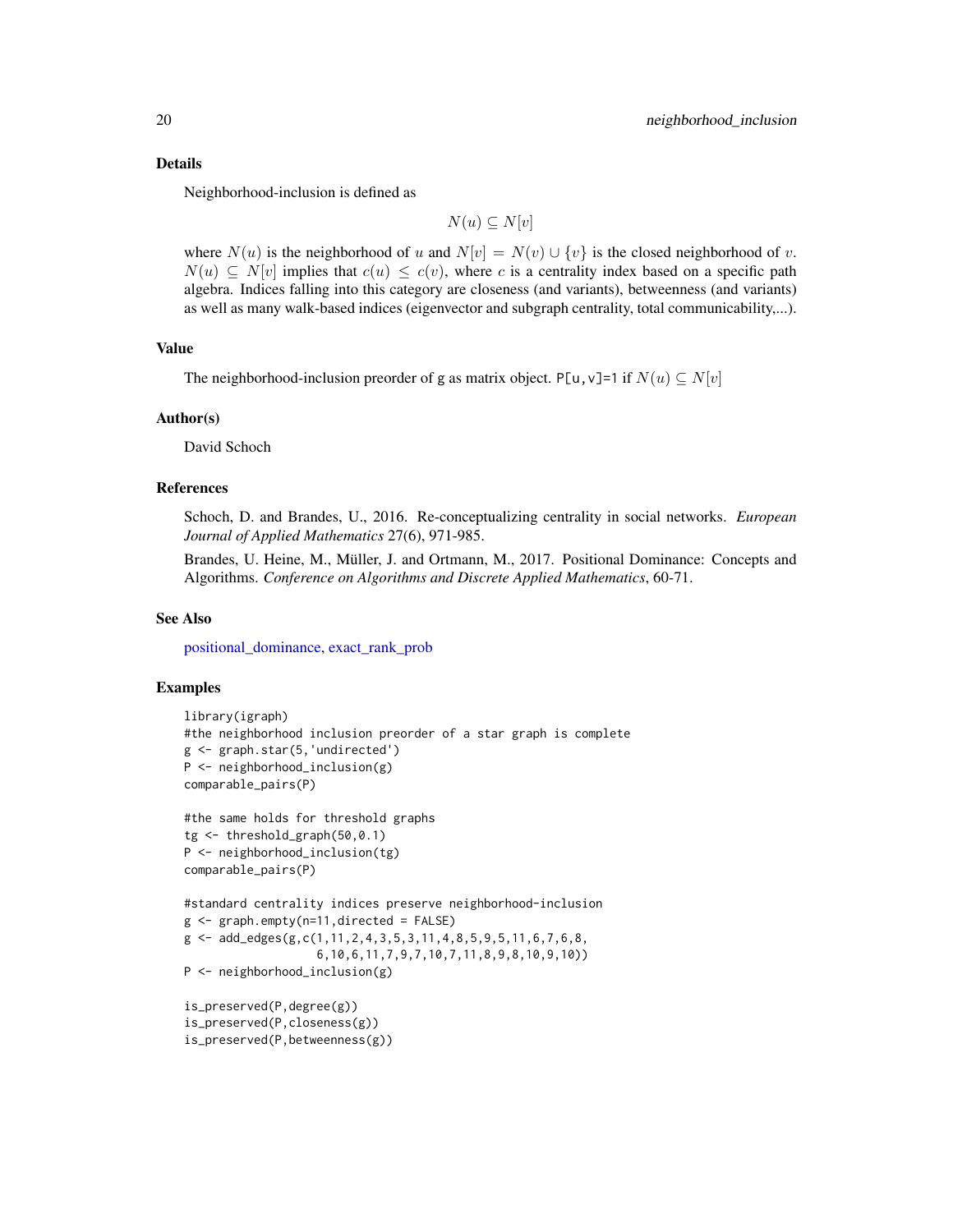#### Details

Neighborhood-inclusion is defined as

$$
N(u) \subseteq N[v]
$$

where  $N(u)$  is the neighborhood of u and  $N[v] = N(v) \cup \{v\}$  is the closed neighborhood of v.  $N(u) \subseteq N[v]$  implies that  $c(u) \leq c(v)$ , where c is a centrality index based on a specific path algebra. Indices falling into this category are closeness (and variants), betweenness (and variants) as well as many walk-based indices (eigenvector and subgraph centrality, total communicability,...).

#### Value

The neighborhood-inclusion preorder of g as matrix object. P[u, v]=1 if  $N(u) \subseteq N[v]$ 

#### Author(s)

David Schoch

#### References

Schoch, D. and Brandes, U., 2016. Re-conceptualizing centrality in social networks. *European Journal of Applied Mathematics* 27(6), 971-985.

Brandes, U. Heine, M., Müller, J. and Ortmann, M., 2017. Positional Dominance: Concepts and Algorithms. *Conference on Algorithms and Discrete Applied Mathematics*, 60-71.

#### See Also

[positional\\_dominance,](#page-22-1) [exact\\_rank\\_prob](#page-8-1)

```
library(igraph)
#the neighborhood inclusion preorder of a star graph is complete
g <- graph.star(5,'undirected')
P <- neighborhood_inclusion(g)
comparable_pairs(P)
```

```
#the same holds for threshold graphs
tg <- threshold_graph(50,0.1)
P <- neighborhood_inclusion(tg)
comparable_pairs(P)
```

```
#standard centrality indices preserve neighborhood-inclusion
g \leftarrow graph.empty(n=11, directed = FALSE)g \leftarrow add\_edges(g, c(1, 11, 2, 4, 3, 5, 3, 11, 4, 8, 5, 9, 5, 11, 6, 7, 6, 8,6,10,6,11,7,9,7,10,7,11,8,9,8,10,9,10))
P <- neighborhood_inclusion(g)
```

```
is_preserved(P,degree(g))
is_preserved(P,closeness(g))
is_preserved(P,betweenness(g))
```
<span id="page-19-0"></span>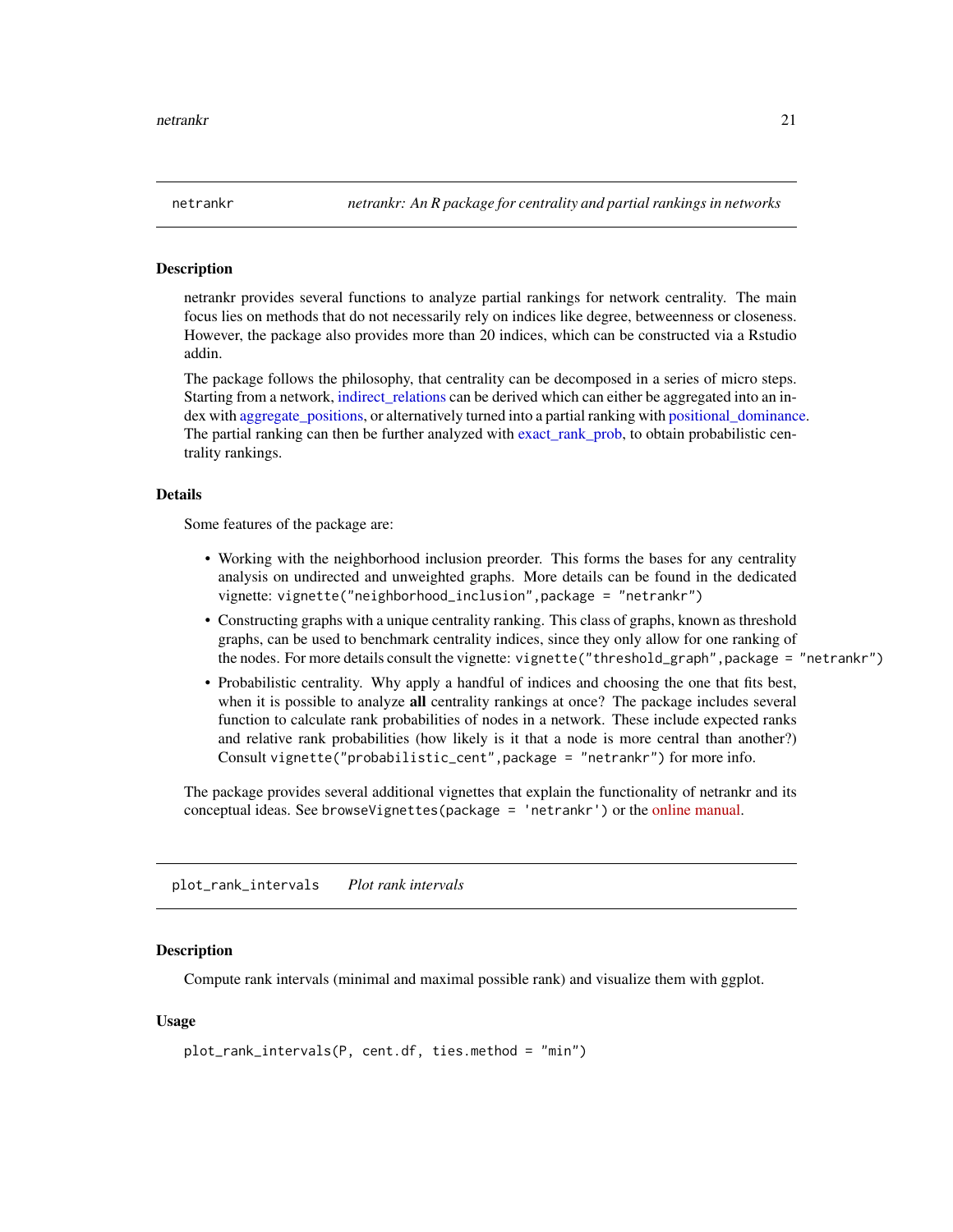<span id="page-20-0"></span>

#### **Description**

netrankr provides several functions to analyze partial rankings for network centrality. The main focus lies on methods that do not necessarily rely on indices like degree, betweenness or closeness. However, the package also provides more than 20 indices, which can be constructed via a Rstudio addin.

The package follows the philosophy, that centrality can be decomposed in a series of micro steps. Starting from a network, indirect relations can be derived which can either be aggregated into an index with [aggregate\\_positions,](#page-1-1) or alternatively turned into a partial ranking with [positional\\_dominance.](#page-22-1) The partial ranking can then be further analyzed with [exact\\_rank\\_prob,](#page-8-1) to obtain probabilistic centrality rankings.

#### Details

Some features of the package are:

- Working with the neighborhood inclusion preorder. This forms the bases for any centrality analysis on undirected and unweighted graphs. More details can be found in the dedicated vignette: vignette("neighborhood\_inclusion",package = "netrankr")
- Constructing graphs with a unique centrality ranking. This class of graphs, known as threshold graphs, can be used to benchmark centrality indices, since they only allow for one ranking of the nodes. For more details consult the vignette: vignette("threshold\_graph",package = "netrankr")
- Probabilistic centrality. Why apply a handful of indices and choosing the one that fits best, when it is possible to analyze all centrality rankings at once? The package includes several function to calculate rank probabilities of nodes in a network. These include expected ranks and relative rank probabilities (how likely is it that a node is more central than another?) Consult vignette("probabilistic\_cent",package = "netrankr") for more info.

The package provides several additional vignettes that explain the functionality of netrankr and its conceptual ideas. See browseVignettes(package = 'netrankr') or the [online manual.](https://schochastics.github.io/netrankr)

<span id="page-20-1"></span>plot\_rank\_intervals *Plot rank intervals*

#### **Description**

Compute rank intervals (minimal and maximal possible rank) and visualize them with ggplot.

#### Usage

```
plot_rank_intervals(P, cent.df, ties.method = "min")
```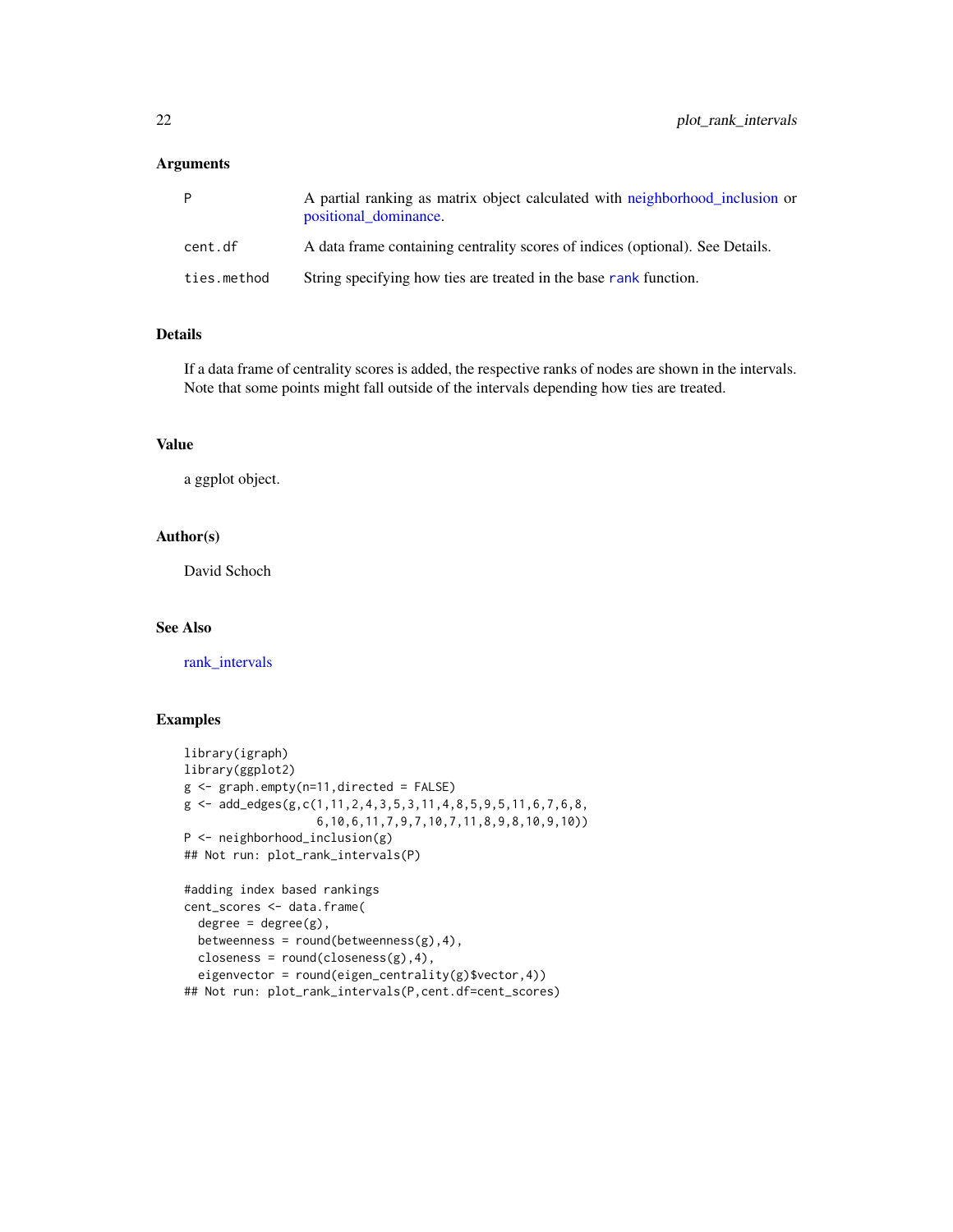#### <span id="page-21-0"></span>Arguments

|             | A partial ranking as matrix object calculated with neighborhood inclusion or<br>positional dominance. |
|-------------|-------------------------------------------------------------------------------------------------------|
| cent.df     | A data frame containing centrality scores of indices (optional). See Details.                         |
| ties.method | String specifying how ties are treated in the base rank function.                                     |

#### Details

If a data frame of centrality scores is added, the respective ranks of nodes are shown in the intervals. Note that some points might fall outside of the intervals depending how ties are treated.

#### Value

a ggplot object.

#### Author(s)

David Schoch

#### See Also

[rank\\_intervals](#page-23-1)

```
library(igraph)
library(ggplot2)
g <- graph.empty(n=11,directed = FALSE)
g \leftarrow add\_edges(g, c(1, 11, 2, 4, 3, 5, 3, 11, 4, 8, 5, 9, 5, 11, 6, 7, 6, 8,6,10,6,11,7,9,7,10,7,11,8,9,8,10,9,10))
P <- neighborhood_inclusion(g)
## Not run: plot_rank_intervals(P)
#adding index based rankings
cent_scores <- data.frame(
  degree = degree(g),
  betweenness = round(betweenness(g),4),
  closeness = round(closeness(g),4),
  eigenvector = round(eigen_centrality(g)$vector,4))
## Not run: plot_rank_intervals(P,cent.df=cent_scores)
```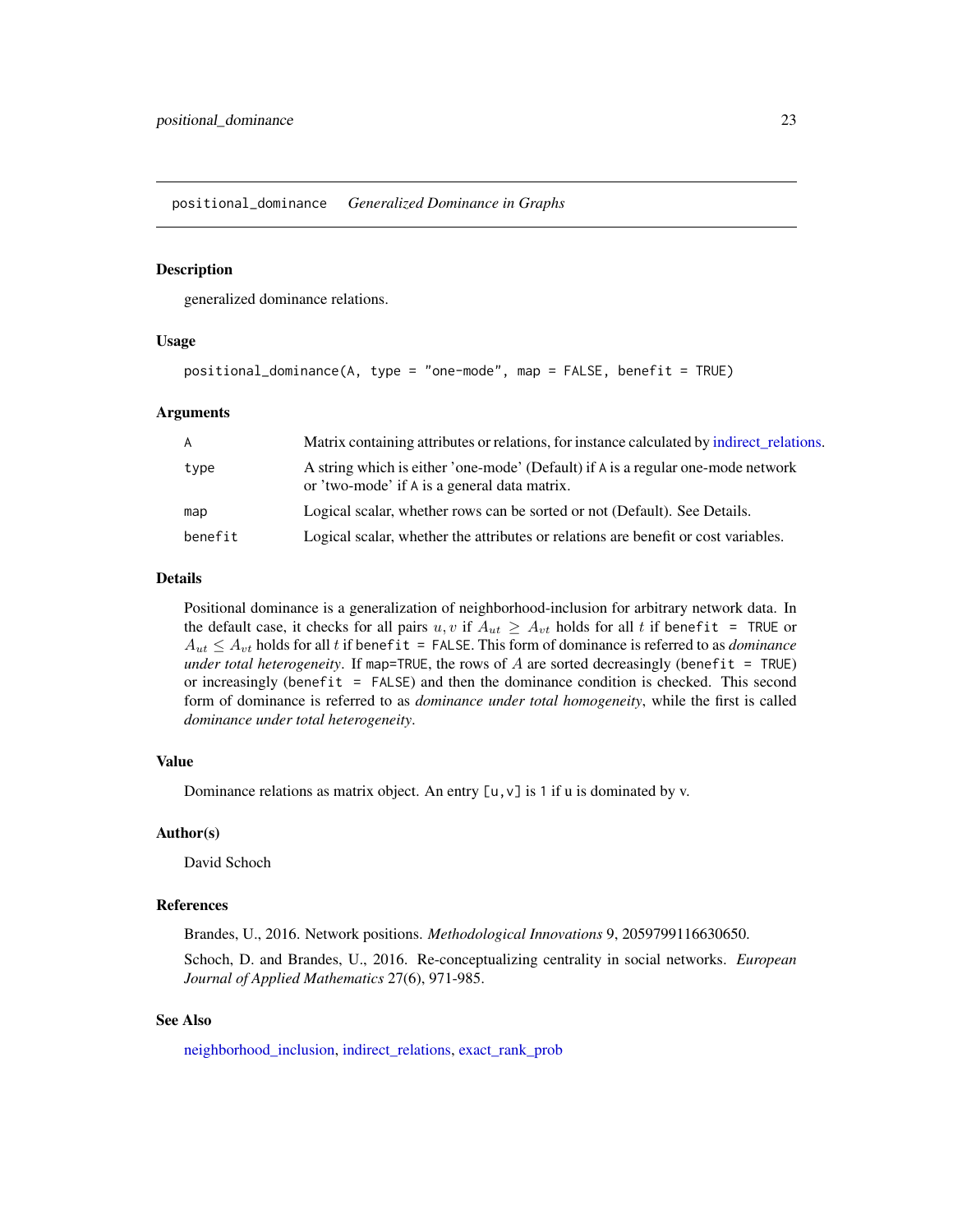<span id="page-22-1"></span><span id="page-22-0"></span>positional\_dominance *Generalized Dominance in Graphs*

#### Description

generalized dominance relations.

#### Usage

```
positional_dominance(A, type = "one-mode", map = FALSE, benefit = TRUE)
```
#### Arguments

| A       | Matrix containing attributes or relations, for instance calculated by indirect relations.                                        |
|---------|----------------------------------------------------------------------------------------------------------------------------------|
| type    | A string which is either 'one-mode' (Default) if A is a regular one-mode network<br>or 'two-mode' if A is a general data matrix. |
| map     | Logical scalar, whether rows can be sorted or not (Default). See Details.                                                        |
| benefit | Logical scalar, whether the attributes or relations are benefit or cost variables.                                               |

#### Details

Positional dominance is a generalization of neighborhood-inclusion for arbitrary network data. In the default case, it checks for all pairs u, v if  $A_{ut} \geq A_{vt}$  holds for all t if benefit = TRUE or  $A_{ut} \leq A_{vt}$  holds for all t if benefit = FALSE. This form of dominance is referred to as *dominance under total heterogeneity*. If map=TRUE, the rows of A are sorted decreasingly (benefit = TRUE) or increasingly (benefit  $=$  FALSE) and then the dominance condition is checked. This second form of dominance is referred to as *dominance under total homogeneity*, while the first is called *dominance under total heterogeneity*.

#### Value

Dominance relations as matrix object. An entry  $[u, v]$  is 1 if u is dominated by v.

#### Author(s)

David Schoch

#### References

Brandes, U., 2016. Network positions. *Methodological Innovations* 9, 2059799116630650.

Schoch, D. and Brandes, U., 2016. Re-conceptualizing centrality in social networks. *European Journal of Applied Mathematics* 27(6), 971-985.

#### See Also

[neighborhood\\_inclusion,](#page-18-1) [indirect\\_relations,](#page-12-1) [exact\\_rank\\_prob](#page-8-1)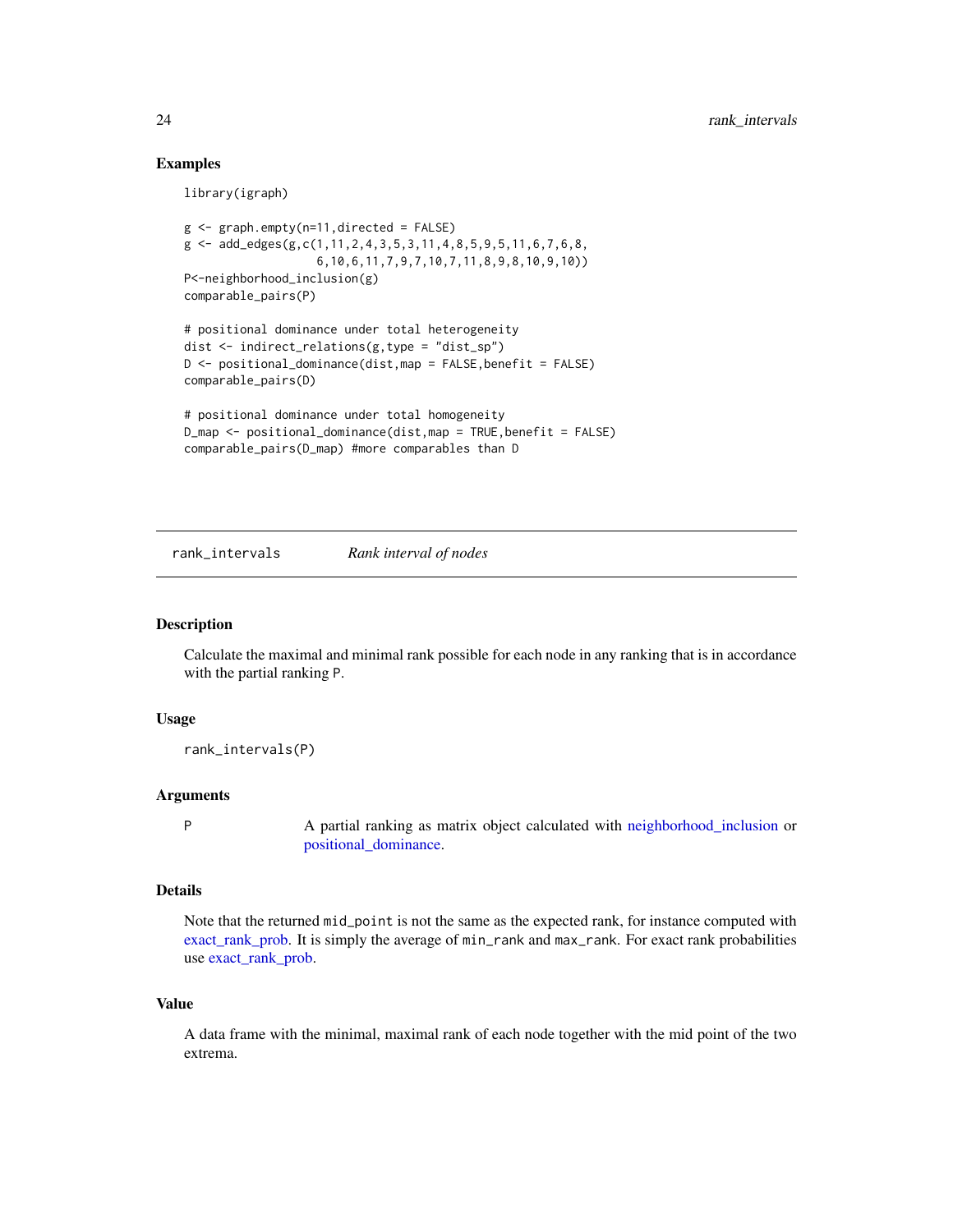#### Examples

library(igraph)

```
g <- graph.empty(n=11,directed = FALSE)
g \leftarrow add\_edges(g, c(1, 11, 2, 4, 3, 5, 3, 11, 4, 8, 5, 9, 5, 11, 6, 7, 6, 8,6,10,6,11,7,9,7,10,7,11,8,9,8,10,9,10))
P<-neighborhood_inclusion(g)
comparable_pairs(P)
# positional dominance under total heterogeneity
```

```
dist <- indirect_relations(g,type = "dist_sp")
D <- positional_dominance(dist,map = FALSE,benefit = FALSE)
comparable_pairs(D)
```

```
# positional dominance under total homogeneity
D_map <- positional_dominance(dist,map = TRUE,benefit = FALSE)
comparable_pairs(D_map) #more comparables than D
```
<span id="page-23-1"></span>rank\_intervals *Rank interval of nodes*

#### Description

Calculate the maximal and minimal rank possible for each node in any ranking that is in accordance with the partial ranking P.

#### Usage

rank\_intervals(P)

#### Arguments

P A partial ranking as matrix object calculated with [neighborhood\\_inclusion](#page-18-1) or [positional\\_dominance.](#page-22-1)

#### Details

Note that the returned mid\_point is not the same as the expected rank, for instance computed with [exact\\_rank\\_prob.](#page-8-1) It is simply the average of min\_rank and max\_rank. For exact rank probabilities use [exact\\_rank\\_prob.](#page-8-1)

#### Value

A data frame with the minimal, maximal rank of each node together with the mid point of the two extrema.

<span id="page-23-0"></span>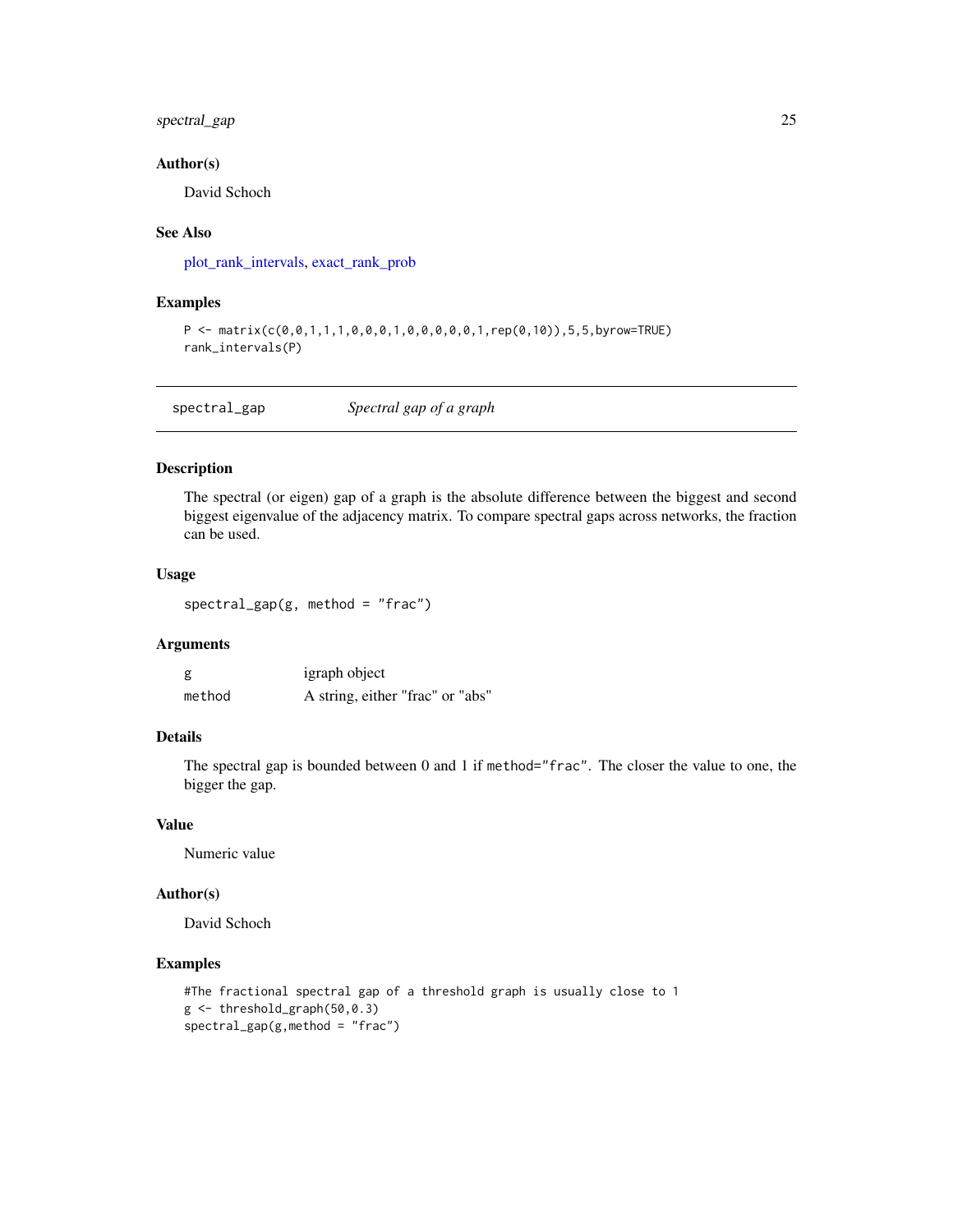#### <span id="page-24-0"></span>spectral\_gap 25

#### Author(s)

David Schoch

#### See Also

[plot\\_rank\\_intervals,](#page-20-1) [exact\\_rank\\_prob](#page-8-1)

#### Examples

```
P <- matrix(c(0,0,1,1,1,0,0,0,1,0,0,0,0,0,1,rep(0,10)),5,5,byrow=TRUE)
rank_intervals(P)
```

| spectral_gap | Spectral gap of a graph |  |
|--------------|-------------------------|--|
|--------------|-------------------------|--|

#### Description

The spectral (or eigen) gap of a graph is the absolute difference between the biggest and second biggest eigenvalue of the adjacency matrix. To compare spectral gaps across networks, the fraction can be used.

#### Usage

```
spectral_gap(g, method = "frac")
```
#### Arguments

| g      | igraph object                    |
|--------|----------------------------------|
| method | A string, either "frac" or "abs" |

#### Details

The spectral gap is bounded between 0 and 1 if method="frac". The closer the value to one, the bigger the gap.

#### Value

Numeric value

#### Author(s)

David Schoch

```
#The fractional spectral gap of a threshold graph is usually close to 1
g <- threshold_graph(50,0.3)
spectral_gap(g,method = "frac")
```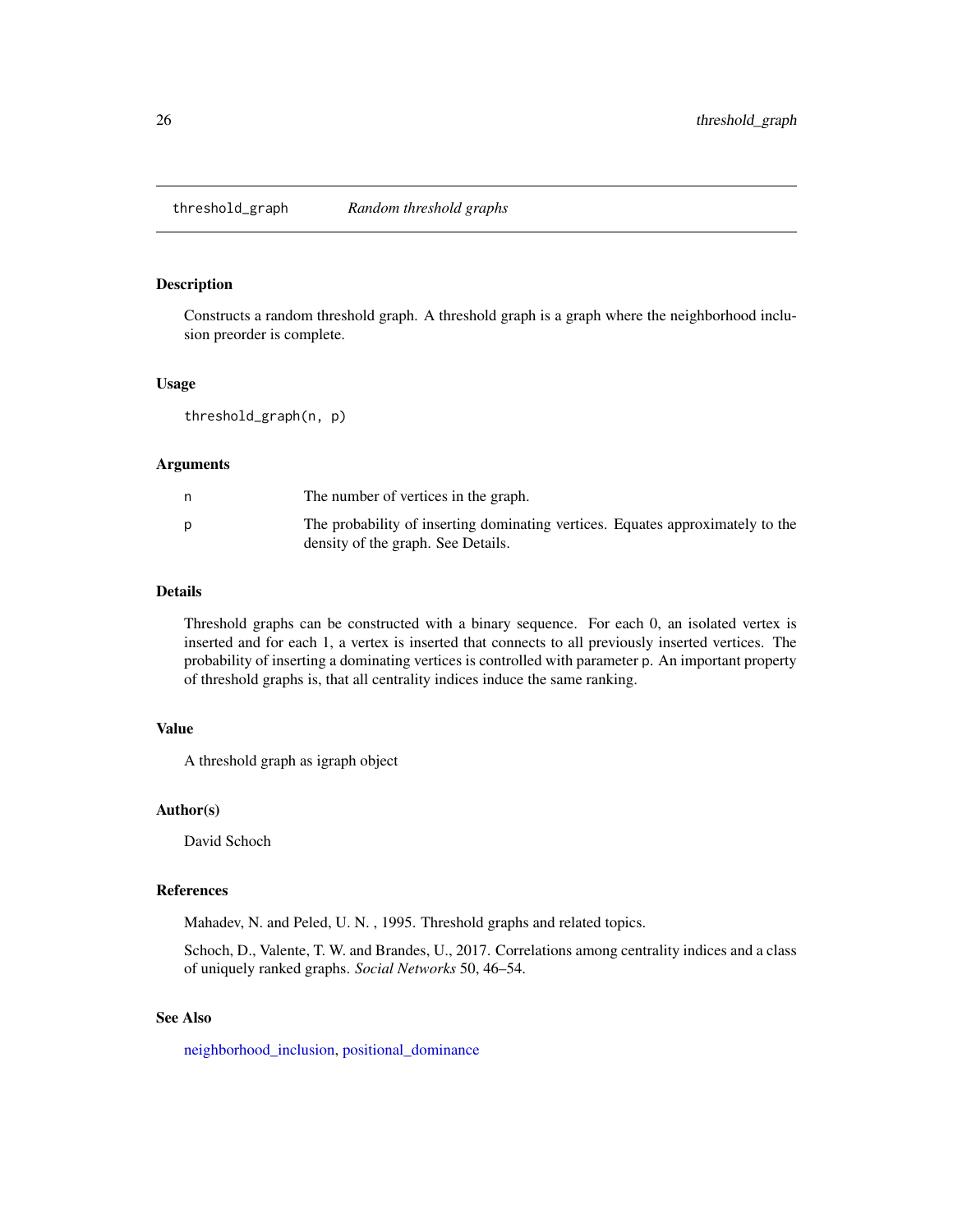<span id="page-25-1"></span><span id="page-25-0"></span>threshold\_graph *Random threshold graphs*

#### Description

Constructs a random threshold graph. A threshold graph is a graph where the neighborhood inclusion preorder is complete.

#### Usage

threshold\_graph(n, p)

#### Arguments

| The number of vertices in the graph.                                                                                 |
|----------------------------------------------------------------------------------------------------------------------|
| The probability of inserting dominating vertices. Equates approximately to the<br>density of the graph. See Details. |

#### Details

Threshold graphs can be constructed with a binary sequence. For each 0, an isolated vertex is inserted and for each 1, a vertex is inserted that connects to all previously inserted vertices. The probability of inserting a dominating vertices is controlled with parameter p. An important property of threshold graphs is, that all centrality indices induce the same ranking.

#### Value

A threshold graph as igraph object

#### Author(s)

David Schoch

#### References

Mahadev, N. and Peled, U. N. , 1995. Threshold graphs and related topics.

Schoch, D., Valente, T. W. and Brandes, U., 2017. Correlations among centrality indices and a class of uniquely ranked graphs. *Social Networks* 50, 46–54.

#### See Also

[neighborhood\\_inclusion,](#page-18-1) [positional\\_dominance](#page-22-1)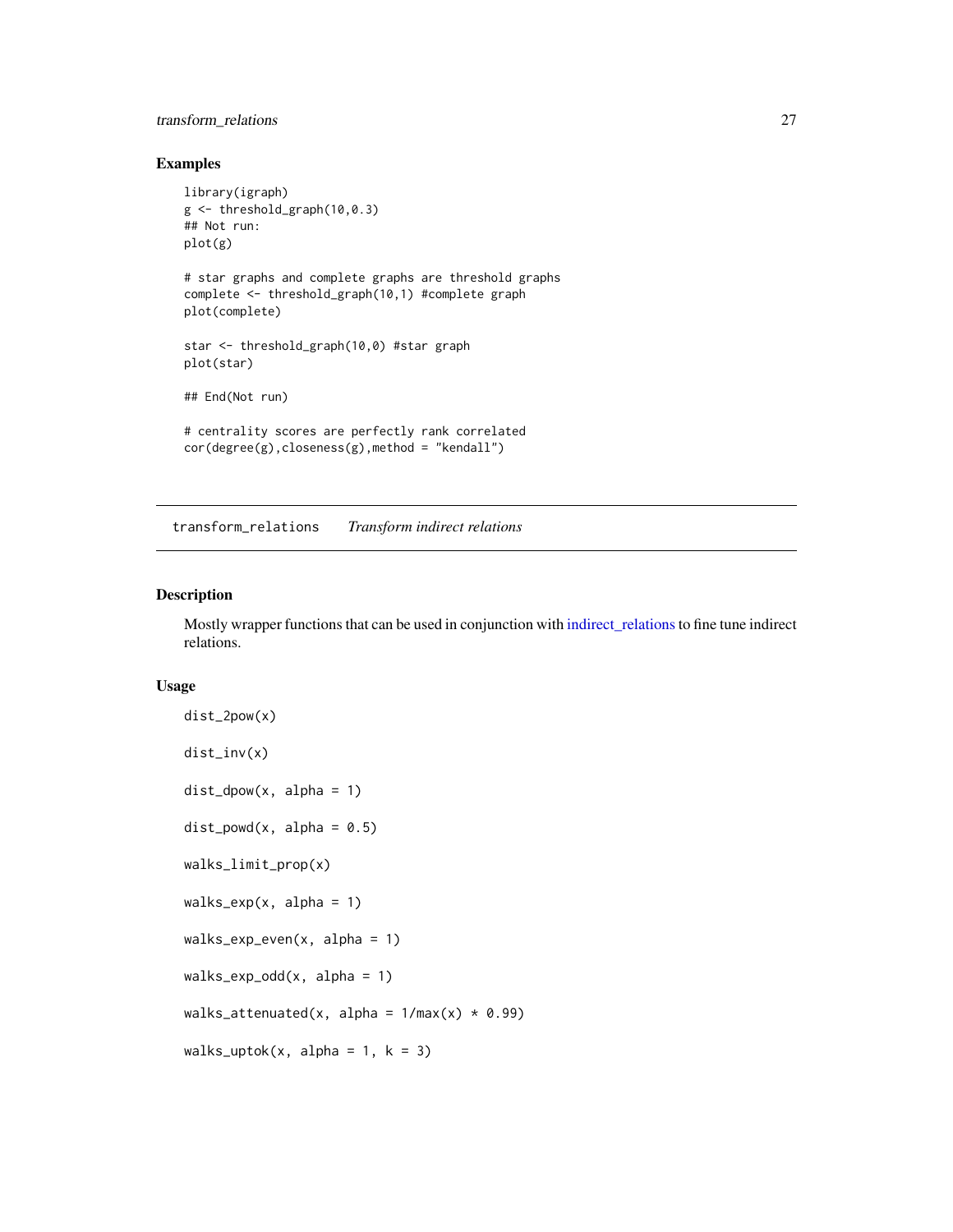#### <span id="page-26-0"></span>transform\_relations 27

#### Examples

```
library(igraph)
g \leftarrow threshold_graph(10,0.3)
## Not run:
plot(g)
# star graphs and complete graphs are threshold graphs
complete <- threshold_graph(10,1) #complete graph
plot(complete)
star <- threshold_graph(10,0) #star graph
plot(star)
## End(Not run)
# centrality scores are perfectly rank correlated
cor(degree(g),closeness(g),method = "kendall")
```
<span id="page-26-1"></span>transform\_relations *Transform indirect relations*

#### Description

Mostly wrapper functions that can be used in conjunction with [indirect\\_relations](#page-12-1)to fine tune indirect relations.

#### Usage

```
dist_2pow(x)
dist_inv(x)
dist_dpow(x, alpha = 1)
dist\_powd(x, alpha = 0.5)walks_limit_prop(x)
walks_{exp}(x, alpha = 1)walks_{exp\_even}(x, alpha = 1)walks<sub>-exp-odd</sub>(x, alpha = 1)
walks_attenuated(x, alpha = 1/\text{max}(x) * 0.99)
walks_uptok(x, alpha = 1, k = 3)
```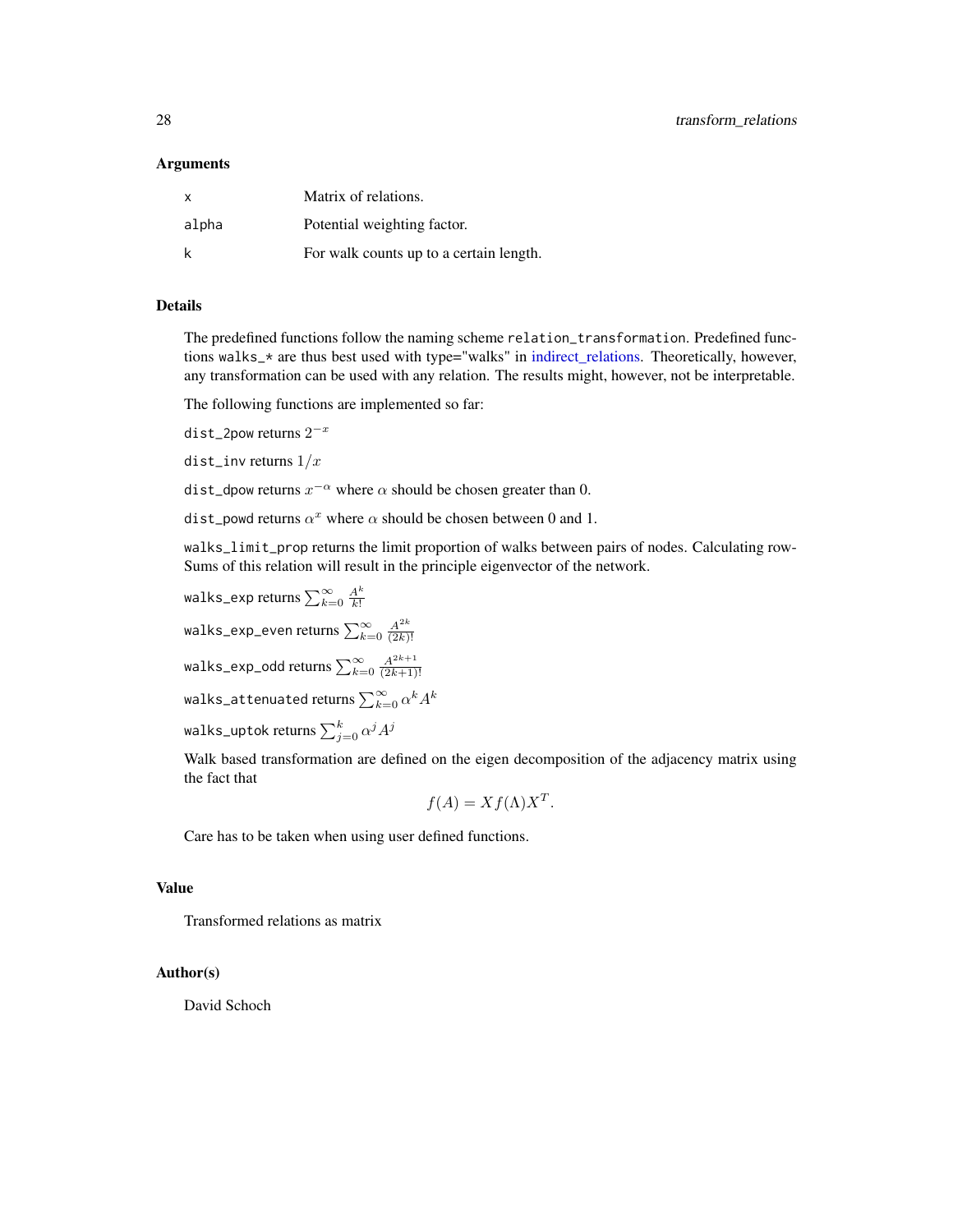#### <span id="page-27-0"></span>Arguments

| $\mathsf{x}$ | Matrix of relations.                    |
|--------------|-----------------------------------------|
| alpha        | Potential weighting factor.             |
| k            | For walk counts up to a certain length. |

#### Details

The predefined functions follow the naming scheme relation\_transformation. Predefined functions walks\_\* are thus best used with type="walks" in [indirect\\_relations.](#page-12-1) Theoretically, however, any transformation can be used with any relation. The results might, however, not be interpretable.

The following functions are implemented so far:

dist\_2pow returns  $2^{-x}$ 

dist\_inv returns  $1/x$ 

dist\_dpow returns  $x^{-\alpha}$  where  $\alpha$  should be chosen greater than 0.

dist\_powd returns  $\alpha^x$  where  $\alpha$  should be chosen between 0 and 1.

walks\_limit\_prop returns the limit proportion of walks between pairs of nodes. Calculating row-Sums of this relation will result in the principle eigenvector of the network.

walks-exp returns 
$$
\sum_{k=0}^{\infty} \frac{A^k}{k!}
$$

wa $1$ k $\mathsf{s\_exp\_even}$  returns  $\sum_{k=0}^\infty \frac{A^{2k}}{(2k)}$  $(2k)!$ 

walks\_exp\_odd returns  $\sum_{k=0}^{\infty}\frac{A^{2k+1}}{(2k+1)}$  $(2k+1)!$ 

walks\_attenuated returns  $\sum_{k=0}^{\infty}\alpha^k A^k$ 

walks\_uptok returns  $\sum_{j=0}^k \alpha^j A^j$ 

Walk based transformation are defined on the eigen decomposition of the adjacency matrix using the fact that

$$
f(A) = X f(\Lambda) X^T.
$$

Care has to be taken when using user defined functions.

#### Value

Transformed relations as matrix

#### Author(s)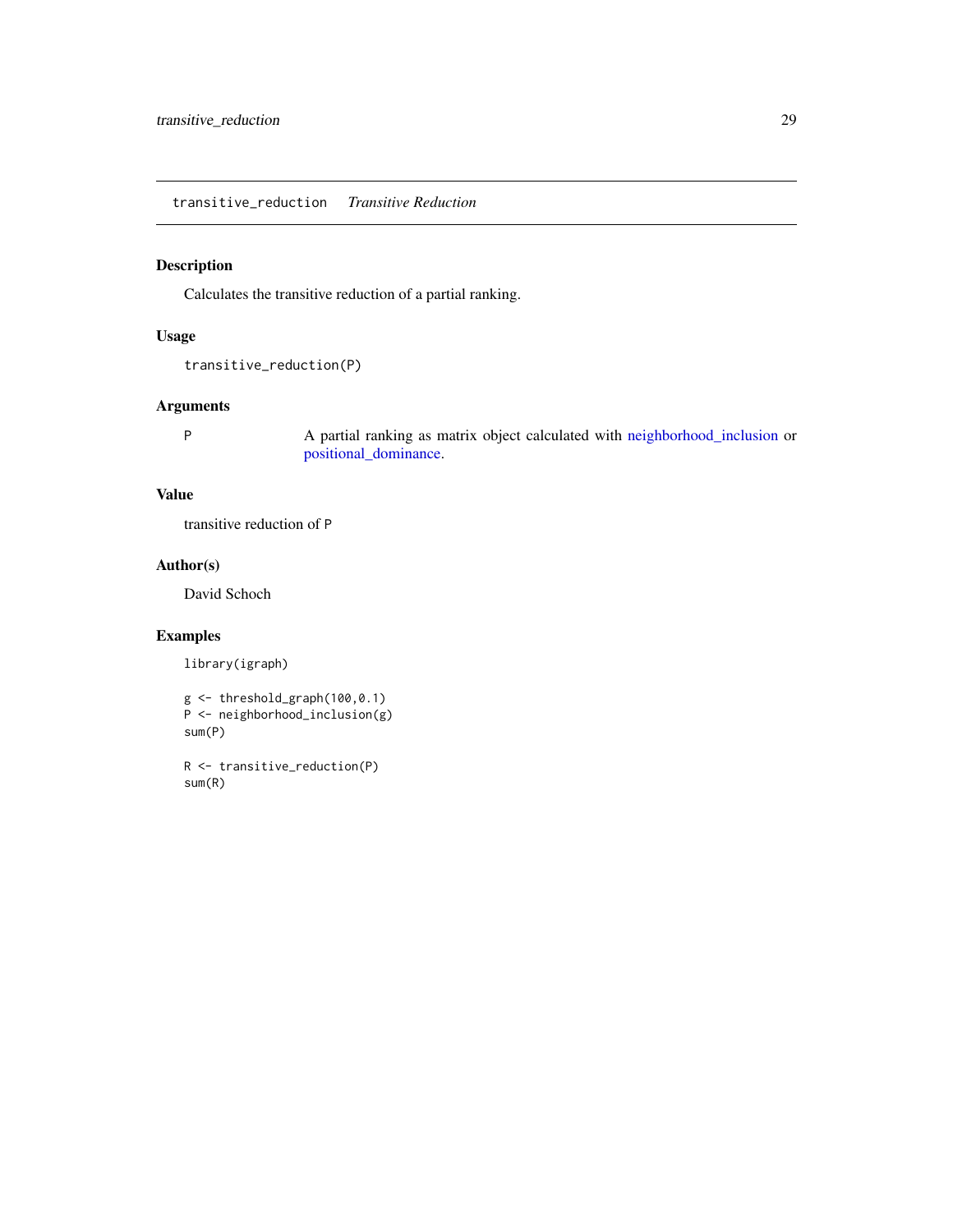<span id="page-28-0"></span>transitive\_reduction *Transitive Reduction*

#### Description

Calculates the transitive reduction of a partial ranking.

#### Usage

```
transitive_reduction(P)
```
#### Arguments

P A partial ranking as matrix object calculated with [neighborhood\\_inclusion](#page-18-1) or [positional\\_dominance.](#page-22-1)

#### Value

transitive reduction of P

#### Author(s)

David Schoch

#### Examples

library(igraph)

```
g \leftarrow threshold_graph(100,0.1)
P <- neighborhood_inclusion(g)
sum(P)
```
R <- transitive\_reduction(P) sum(R)